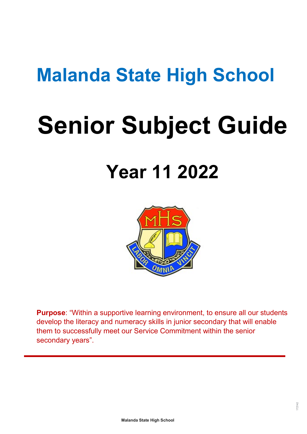# **Malanda State High School**

# **Senior Subject Guide**

# **Year 11 2022**



**Purpose**: "Within a supportive learning environment, to ensure all our students develop the literacy and numeracy skills in junior secondary that will enable them to successfully meet our Service Commitment within the senior secondary years".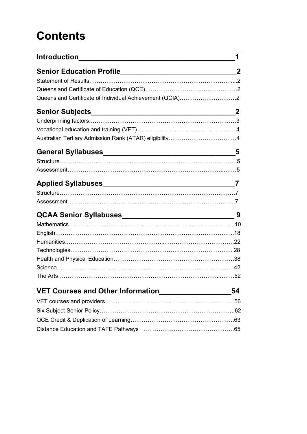# **Contents**

|                                                          | 1  |
|----------------------------------------------------------|----|
|                                                          |    |
|                                                          |    |
|                                                          |    |
| Queensland Certificate of Individual Achievement (QCIA)2 |    |
|                                                          |    |
|                                                          |    |
|                                                          |    |
|                                                          |    |
|                                                          |    |
|                                                          |    |
|                                                          |    |
|                                                          |    |
|                                                          |    |
|                                                          |    |
|                                                          |    |
|                                                          |    |
|                                                          |    |
|                                                          |    |
|                                                          |    |
|                                                          |    |
|                                                          |    |
|                                                          |    |
| VET Courses and Other Information_____________           | 54 |
|                                                          |    |
|                                                          |    |
|                                                          |    |
|                                                          |    |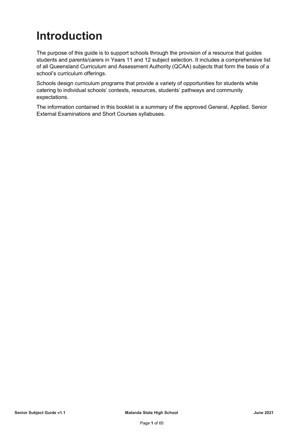# <span id="page-2-0"></span>**Introduction**

The purpose of this guide is to support schools through the provision of a resource that guides students and parents/carers in Years 11 and 12 subject selection. It includes a comprehensive list of all Queensland Curriculum and Assessment Authority (QCAA) subjects that form the basis of a school's curriculum offerings.

Schools design curriculum programs that provide a variety of opportunities for students while catering to individual schools' contexts, resources, students' pathways and community expectations.

The information contained in this booklet is a summary of the approved General, Applied, Senior External Examinations and Short Courses syllabuses.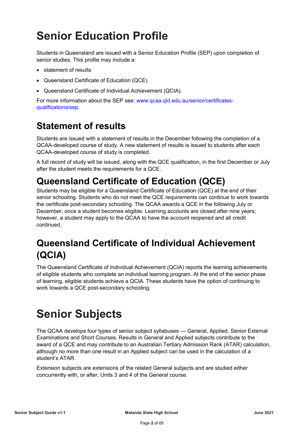# <span id="page-3-0"></span>**Senior Education Profile**

Students in Queensland are issued with a Senior Education Profile (SEP) upon completion of senior studies. This profile may include a:

- statement of results
- Queensland Certificate of Education (QCE)
- Queensland Certificate of Individual Achievement (QCIA).

For more information about the SEP see: [www.qcaa.qld.edu.au/senior/certificates](https://www.qcaa.qld.edu.au/senior/certificates-qualifications/sep)[qualifications/sep.](https://www.qcaa.qld.edu.au/senior/certificates-qualifications/sep)

### <span id="page-3-1"></span>**Statement of results**

Students are issued with a statement of results in the December following the completion of a QCAA-developed course of study. A new statement of results is issued to students after each QCAA-developed course of study is completed.

A full record of study will be issued, along with the QCE qualification, in the first December or July after the student meets the requirements for a QCE.

### <span id="page-3-2"></span>**Queensland Certificate of Education (QCE)**

Students may be eligible for a Queensland Certificate of Education (QCE) at the end of their senior schooling. Students who do not meet the QCE requirements can continue to work towards the certificate post-secondary schooling. The QCAA awards a QCE in the following July or December, once a student becomes eligible. Learning accounts are closed after nine years; however, a student may apply to the QCAA to have the account reopened and all credit continued.

### <span id="page-3-3"></span>**Queensland Certificate of Individual Achievement (QCIA)**

The Queensland Certificate of Individual Achievement (QCIA) reports the learning achievements of eligible students who complete an individual learning program. At the end of the senior phase of learning, eligible students achieve a QCIA. These students have the option of continuing to work towards a QCE post-secondary schooling.

# <span id="page-3-4"></span>**Senior Subjects**

The QCAA develops four types of senior subject syllabuses — General, Applied, Senior External Examinations and Short Courses. Results in General and Applied subjects contribute to the award of a QCE and may contribute to an Australian Tertiary Admission Rank (ATAR) calculation, although no more than one result in an Applied subject can be used in the calculation of a student's ATAR.

Extension subjects are extensions of the related General subjects and are studied either concurrently with, or after, Units 3 and 4 of the General course.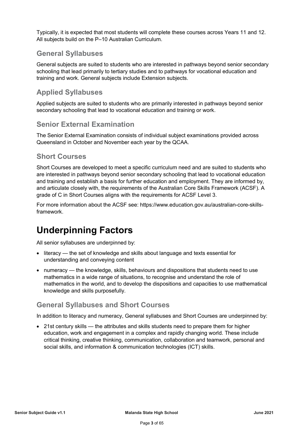Typically, it is expected that most students will complete these courses across Years 11 and 12. All subjects build on the P–10 Australian Curriculum.

### **General Syllabuses**

General subjects are suited to students who are interested in pathways beyond senior secondary schooling that lead primarily to tertiary studies and to pathways for vocational education and training and work. General subjects include Extension subjects.

### **Applied Syllabuses**

Applied subjects are suited to students who are primarily interested in pathways beyond senior secondary schooling that lead to vocational education and training or work.

### **Senior External Examination**

The Senior External Examination consists of individual subject examinations provided across Queensland in October and November each year by the QCAA.

### **Short Courses**

Short Courses are developed to meet a specific curriculum need and are suited to students who are interested in pathways beyond senior secondary schooling that lead to vocational education and training and establish a basis for further education and employment. They are informed by, and articulate closely with, the requirements of the Australian Core Skills Framework (ACSF). A grade of C in Short Courses aligns with the requirements for ACSF Level 3.

For more information about the ACSF see: https://www.education.gov.au/australian-core-skillsframework.

### <span id="page-4-0"></span>**Underpinning Factors**

All senior syllabuses are underpinned by:

- literacy the set of knowledge and skills about language and texts essential for understanding and conveying content
- numeracy the knowledge, skills, behaviours and dispositions that students need to use mathematics in a wide range of situations, to recognise and understand the role of mathematics in the world, and to develop the dispositions and capacities to use mathematical knowledge and skills purposefully.

### **General Syllabuses and Short Courses**

In addition to literacy and numeracy, General syllabuses and Short Courses are underpinned by:

• 21st century skills — the attributes and skills students need to prepare them for higher education, work and engagement in a complex and rapidly changing world. These include critical thinking, creative thinking, communication, collaboration and teamwork, personal and social skills, and information & communication technologies (ICT) skills.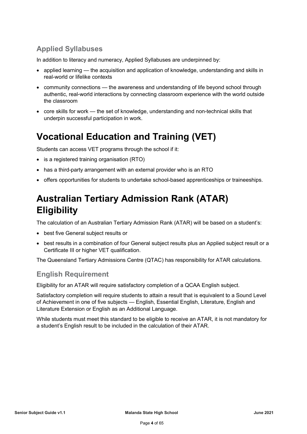### **Applied Syllabuses**

In addition to literacy and numeracy, Applied Syllabuses are underpinned by:

- applied learning the acquisition and application of knowledge, understanding and skills in real-world or lifelike contexts
- community connections the awareness and understanding of life beyond school through authentic, real-world interactions by connecting classroom experience with the world outside the classroom
- core skills for work the set of knowledge, understanding and non-technical skills that underpin successful participation in work.

### <span id="page-5-0"></span>**Vocational Education and Training (VET)**

Students can access VET programs through the school if it:

- is a registered training organisation (RTO)
- has a third-party arrangement with an external provider who is an RTO
- offers opportunities for students to undertake school-based apprenticeships or traineeships.

### <span id="page-5-1"></span>**Australian Tertiary Admission Rank (ATAR) Eligibility**

The calculation of an Australian Tertiary Admission Rank (ATAR) will be based on a student's:

- best five General subject results or
- best results in a combination of four General subject results plus an Applied subject result or a Certificate III or higher VET qualification.

The Queensland Tertiary Admissions Centre (QTAC) has responsibility for ATAR calculations.

### **English Requirement**

Eligibility for an ATAR will require satisfactory completion of a QCAA English subject.

Satisfactory completion will require students to attain a result that is equivalent to a Sound Level of Achievement in one of five subjects — English, Essential English, Literature, English and Literature Extension or English as an Additional Language.

While students must meet this standard to be eligible to receive an ATAR, it is not mandatory for a student's English result to be included in the calculation of their ATAR.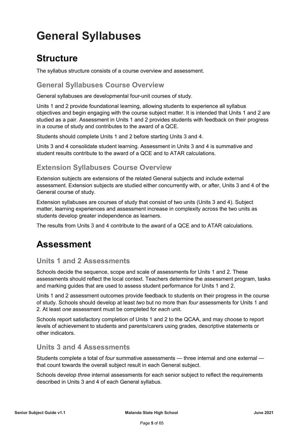# <span id="page-6-0"></span>**General Syllabuses**

### <span id="page-6-1"></span>**Structure**

The syllabus structure consists of a course overview and assessment.

**General Syllabuses Course Overview**

General syllabuses are developmental four-unit courses of study.

Units 1 and 2 provide foundational learning, allowing students to experience all syllabus objectives and begin engaging with the course subject matter. It is intended that Units 1 and 2 are studied as a pair. Assessment in Units 1 and 2 provides students with feedback on their progress in a course of study and contributes to the award of a QCE.

Students should complete Units 1 and 2 before starting Units 3 and 4.

Units 3 and 4 consolidate student learning. Assessment in Units 3 and 4 is summative and student results contribute to the award of a QCE and to ATAR calculations.

### **Extension Syllabuses Course Overview**

Extension subjects are extensions of the related General subjects and include external assessment. Extension subjects are studied either concurrently with, or after, Units 3 and 4 of the General course of study.

Extension syllabuses are courses of study that consist of two units (Units 3 and 4). Subject matter, learning experiences and assessment increase in complexity across the two units as students develop greater independence as learners.

The results from Units 3 and 4 contribute to the award of a QCE and to ATAR calculations.

### <span id="page-6-2"></span>**Assessment**

### **Units 1 and 2 Assessments**

Schools decide the sequence, scope and scale of assessments for Units 1 and 2. These assessments should reflect the local context. Teachers determine the assessment program, tasks and marking guides that are used to assess student performance for Units 1 and 2.

Units 1 and 2 assessment outcomes provide feedback to students on their progress in the course of study. Schools should develop at least *two* but no more than *four* assessments for Units 1 and 2. At least *one* assessment must be completed for *each* unit.

Schools report satisfactory completion of Units 1 and 2 to the QCAA, and may choose to report levels of achievement to students and parents/carers using grades, descriptive statements or other indicators.

### **Units 3 and 4 Assessments**

Students complete a total of *four* summative assessments — three internal and one external that count towards the overall subject result in each General subject.

Schools develop *three* internal assessments for each senior subject to reflect the requirements described in Units 3 and 4 of each General syllabus.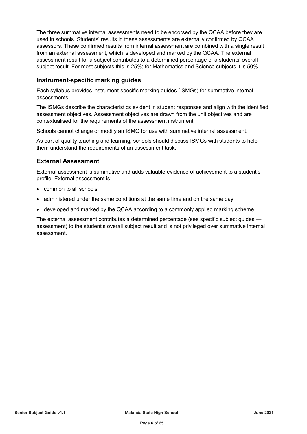The three summative internal assessments need to be endorsed by the QCAA before they are used in schools. Students' results in these assessments are externally confirmed by QCAA assessors. These confirmed results from internal assessment are combined with a single result from an external assessment, which is developed and marked by the QCAA. The external assessment result for a subject contributes to a determined percentage of a students' overall subject result. For most subjects this is 25%; for Mathematics and Science subjects it is 50%.

### **Instrument-specific marking guides**

Each syllabus provides instrument-specific marking guides (ISMGs) for summative internal assessments.

The ISMGs describe the characteristics evident in student responses and align with the identified assessment objectives. Assessment objectives are drawn from the unit objectives and are contextualised for the requirements of the assessment instrument.

Schools cannot change or modify an ISMG for use with summative internal assessment.

As part of quality teaching and learning, schools should discuss ISMGs with students to help them understand the requirements of an assessment task.

### **External Assessment**

External assessment is summative and adds valuable evidence of achievement to a student's profile. External assessment is:

- common to all schools
- administered under the same conditions at the same time and on the same day
- developed and marked by the QCAA according to a commonly applied marking scheme.

The external assessment contributes a determined percentage (see specific subject guides assessment) to the student's overall subject result and is not privileged over summative internal assessment.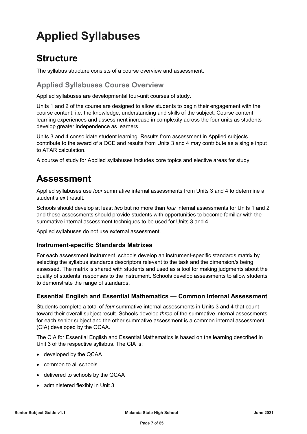# <span id="page-8-0"></span>**Applied Syllabuses**

### <span id="page-8-1"></span>**Structure**

The syllabus structure consists of a course overview and assessment.

### **Applied Syllabuses Course Overview**

Applied syllabuses are developmental four-unit courses of study.

Units 1 and 2 of the course are designed to allow students to begin their engagement with the course content, i.e. the knowledge, understanding and skills of the subject. Course content, learning experiences and assessment increase in complexity across the four units as students develop greater independence as learners.

Units 3 and 4 consolidate student learning. Results from assessment in Applied subjects contribute to the award of a QCE and results from Units 3 and 4 may contribute as a single input to ATAR calculation.

A course of study for Applied syllabuses includes core topics and elective areas for study.

### <span id="page-8-2"></span>**Assessment**

Applied syllabuses use *four* summative internal assessments from Units 3 and 4 to determine a student's exit result.

Schools should develop at least *two* but no more than *four* internal assessments for Units 1 and 2 and these assessments should provide students with opportunities to become familiar with the summative internal assessment techniques to be used for Units 3 and 4.

Applied syllabuses do not use external assessment.

### **Instrument-specific Standards Matrixes**

For each assessment instrument, schools develop an instrument-specific standards matrix by selecting the syllabus standards descriptors relevant to the task and the dimension/s being assessed. The matrix is shared with students and used as a tool for making judgments about the quality of students' responses to the instrument. Schools develop assessments to allow students to demonstrate the range of standards.

### **Essential English and Essential Mathematics — Common Internal Assessment**

Students complete a total of *four* summative internal assessments in Units 3 and 4 that count toward their overall subject result. Schools develop *three* of the summative internal assessments for each senior subject and the other summative assessment is a common internal assessment (CIA) developed by the QCAA.

The CIA for Essential English and Essential Mathematics is based on the learning described in Unit 3 of the respective syllabus. The CIA is:

- developed by the QCAA
- common to all schools
- delivered to schools by the QCAA
- administered flexibly in Unit 3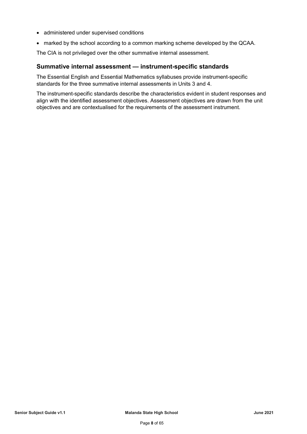- administered under supervised conditions
- marked by the school according to a common marking scheme developed by the QCAA.

The CIA is not privileged over the other summative internal assessment.

### **Summative internal assessment — instrument-specific standards**

The Essential English and Essential Mathematics syllabuses provide instrument-specific standards for the three summative internal assessments in Units 3 and 4.

The instrument-specific standards describe the characteristics evident in student responses and align with the identified assessment objectives. Assessment objectives are drawn from the unit objectives and are contextualised for the requirements of the assessment instrument.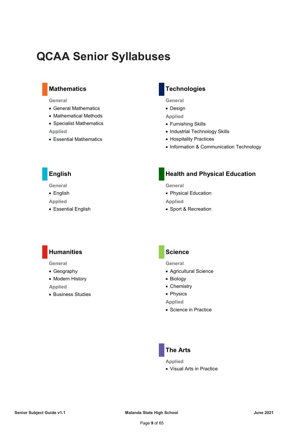## <span id="page-10-0"></span>**QCAA Senior Syllabuses**

### **Mathematics**

#### **General**

- General Mathematics
- Mathematical Methods
- Specialist Mathematics

#### **Applied**

• Essential Mathematics

### **Technologies**

**General**

• Design

**Applied**

- Furnishing Skills
- Industrial Technology Skills
- Hospitality Practices
- Information & Communication Technology

### **English**

**General**

• English

**Applied**

• Essential English

### **Health and Physical Education**

**General**

• Physical Education

**Applied**

• Sport & Recreation

### **Humanities**

**General**

- Geography
- Modern History

**Applied**

• Business Studies

### **Science**

**General**

- Agricultural Science
- Biology
- Chemistry
- Physics

**Applied**

• Science in Practice



**Applied**

• Visual Arts in Practice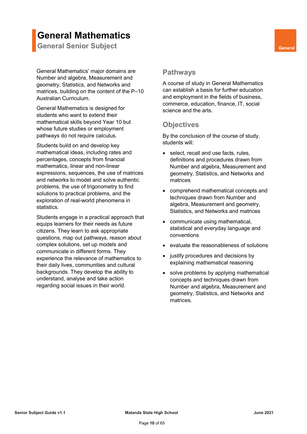### <span id="page-11-0"></span>**General Mathematics**

**General Senior Subject General General** 

General Mathematics' major domains are Number and algebra, Measurement and geometry, Statistics, and Networks and matrices, building on the content of the P–10 Australian Curriculum.

General Mathematics is designed for students who want to extend their mathematical skills beyond Year 10 but whose future studies or employment pathways do not require calculus.

Students build on and develop key mathematical ideas, including rates and percentages, concepts from financial mathematics, linear and non-linear expressions, sequences, the use of matrices and networks to model and solve authentic problems, the use of trigonometry to find solutions to practical problems, and the exploration of real-world phenomena in statistics.

Students engage in a practical approach that equips learners for their needs as future citizens. They learn to ask appropriate questions, map out pathways, reason about complex solutions, set up models and communicate in different forms. They experience the relevance of mathematics to their daily lives, communities and cultural backgrounds. They develop the ability to understand, analyse and take action regarding social issues in their world.

### **Pathways**

A course of study in General Mathematics can establish a basis for further education and employment in the fields of business, commerce, education, finance, IT, social science and the arts.

### **Objectives**

By the conclusion of the course of study, students will:

- select, recall and use facts, rules, definitions and procedures drawn from Number and algebra, Measurement and geometry, Statistics, and Networks and matrices
- comprehend mathematical concepts and techniques drawn from Number and algebra, Measurement and geometry, Statistics, and Networks and matrices
- communicate using mathematical, statistical and everyday language and conventions
- evaluate the reasonableness of solutions
- justify procedures and decisions by explaining mathematical reasoning
- solve problems by applying mathematical concepts and techniques drawn from Number and algebra, Measurement and geometry, Statistics, and Networks and matrices.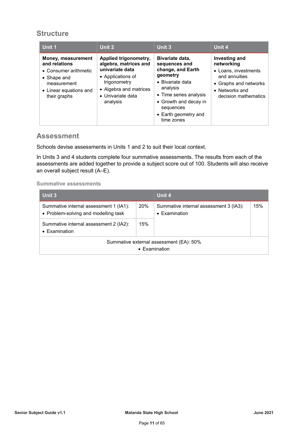### **Structure**

| Unit 1                                                                                                                               | Unit 2                                                                                                                                                            | Unit 3                                                                                                                                                                                                          | Unit 4                                                                                                                                                 |
|--------------------------------------------------------------------------------------------------------------------------------------|-------------------------------------------------------------------------------------------------------------------------------------------------------------------|-----------------------------------------------------------------------------------------------------------------------------------------------------------------------------------------------------------------|--------------------------------------------------------------------------------------------------------------------------------------------------------|
| Money, measurement<br>and relations<br>• Consumer arithmetic<br>• Shape and<br>measurement<br>• Linear equations and<br>their graphs | Applied trigonometry,<br>algebra, matrices and<br>univariate data<br>• Applications of<br>trigonometry<br>• Algebra and matrices<br>• Univariate data<br>analysis | Bivariate data,<br>sequences and<br>change, and Earth<br>geometry<br>$\bullet$ Bivariate data<br>analysis<br>• Time series analysis<br>• Growth and decay in<br>sequences<br>• Earth geometry and<br>time zones | <b>Investing and</b><br>networking<br>• Loans. investments<br>and annuities<br>• Graphs and networks<br>$\bullet$ Networks and<br>decision mathematics |

### **Assessment**

Schools devise assessments in Units 1 and 2 to suit their local context.

In Units 3 and 4 students complete four summative assessments. The results from each of the assessments are added together to provide a subject score out of 100. Students will also receive an overall subject result (A–E).

#### **Summative assessments**

| Unit 3                                                                         |     | Unit 4                                                          |     |
|--------------------------------------------------------------------------------|-----|-----------------------------------------------------------------|-----|
| Summative internal assessment 1 (IA1):<br>• Problem-solving and modelling task | 20% | Summative internal assessment 3 (IA3):<br>$\bullet$ Examination | 15% |
| Summative internal assessment 2 (IA2):<br>$\bullet$ Examination                | 15% |                                                                 |     |
| Summative external assessment (EA): 50%<br>$\bullet$ Examination               |     |                                                                 |     |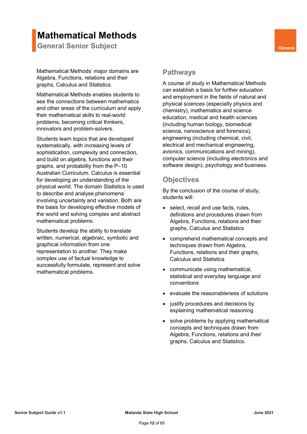### **Mathematical Methods**

**General Senior Subject <b>General General** 

Mathematical Methods' major domains are Algebra, Functions, relations and their graphs, Calculus and Statistics.

Mathematical Methods enables students to see the connections between mathematics and other areas of the curriculum and apply their mathematical skills to real-world problems, becoming critical thinkers, innovators and problem-solvers.

Students learn topics that are developed systematically, with increasing levels of sophistication, complexity and connection, and build on algebra, functions and their graphs, and probability from the P–10 Australian Curriculum. Calculus is essential for developing an understanding of the physical world. The domain Statistics is used to describe and analyse phenomena involving uncertainty and variation. Both are the basis for developing effective models of the world and solving complex and abstract mathematical problems.

Students develop the ability to translate written, numerical, algebraic, symbolic and graphical information from one representation to another. They make complex use of factual knowledge to successfully formulate, represent and solve mathematical problems.

### **Pathways**

A course of study in Mathematical Methods can establish a basis for further education and employment in the fields of natural and physical sciences (especially physics and chemistry), mathematics and science education, medical and health sciences (including human biology, biomedical science, nanoscience and forensics), engineering (including chemical, civil, electrical and mechanical engineering, avionics, communications and mining), computer science (including electronics and software design), psychology and business.

### **Objectives**

By the conclusion of the course of study, students will:

- select, recall and use facts, rules, definitions and procedures drawn from Algebra, Functions, relations and their graphs, Calculus and Statistics
- comprehend mathematical concepts and techniques drawn from Algebra, Functions, relations and their graphs, Calculus and Statistics
- communicate using mathematical, statistical and everyday language and conventions
- evaluate the reasonableness of solutions
- justify procedures and decisions by explaining mathematical reasoning
- solve problems by applying mathematical concepts and techniques drawn from Algebra, Functions, relations and their graphs, Calculus and Statistics.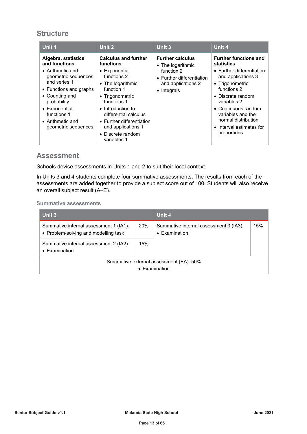### **Structure**

| Unit 1                                                                                                                                                                                                                                                | Unit 2                                                                                                                                                                                                                                                                             | Unit 3                                                                                                                       | Unit 4                                                                                                                                                                                                                                                                                    |
|-------------------------------------------------------------------------------------------------------------------------------------------------------------------------------------------------------------------------------------------------------|------------------------------------------------------------------------------------------------------------------------------------------------------------------------------------------------------------------------------------------------------------------------------------|------------------------------------------------------------------------------------------------------------------------------|-------------------------------------------------------------------------------------------------------------------------------------------------------------------------------------------------------------------------------------------------------------------------------------------|
| Algebra, statistics<br>and functions<br>$\bullet$ Arithmetic and<br>geometric sequences<br>and series 1<br>• Functions and graphs<br>• Counting and<br>probability<br>• Exponential<br>functions 1<br>$\bullet$ Arithmetic and<br>geometric sequences | <b>Calculus and further</b><br>functions<br>• Exponential<br>functions 2<br>• The logarithmic<br>function 1<br>• Trigonometric<br>functions 1<br>• Introduction to<br>differential calculus<br>• Further differentiation<br>and applications 1<br>• Discrete random<br>variables 1 | <b>Further calculus</b><br>• The logarithmic<br>function 2<br>• Further differentiation<br>and applications 2<br>• Integrals | <b>Further functions and</b><br>statistics<br>• Further differentiation<br>and applications 3<br>• Trigonometric<br>functions 2<br>$\bullet$ Discrete random<br>variables 2<br>• Continuous random<br>variables and the<br>normal distribution<br>• Interval estimates for<br>proportions |

### **Assessment**

Schools devise assessments in Units 1 and 2 to suit their local context.

In Units 3 and 4 students complete four summative assessments. The results from each of the assessments are added together to provide a subject score out of 100. Students will also receive an overall subject result (A–E).

**Summative assessments**

| Unit 3                                                                         |     | Unit 4                                                           |     |
|--------------------------------------------------------------------------------|-----|------------------------------------------------------------------|-----|
| Summative internal assessment 1 (IA1):<br>• Problem-solving and modelling task | 20% | Summative internal assessment 3 (IA3):<br>• Examination          | 15% |
| Summative internal assessment 2 (IA2):<br>• Examination                        | 15% |                                                                  |     |
|                                                                                |     | Summative external assessment (EA): 50%<br>$\bullet$ Examination |     |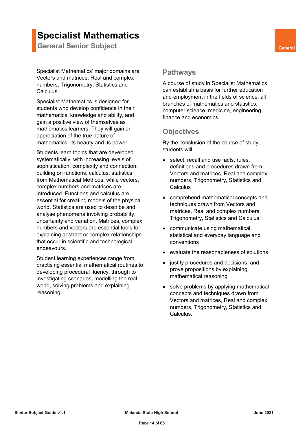### **Specialist Mathematics**

**General Senior Subject <b>General General** 

Specialist Mathematics' major domains are Vectors and matrices, Real and complex numbers, Trigonometry, Statistics and Calculus.

Specialist Mathematics is designed for students who develop confidence in their mathematical knowledge and ability, and gain a positive view of themselves as mathematics learners. They will gain an appreciation of the true nature of mathematics, its beauty and its power.

Students learn topics that are developed systematically, with increasing levels of sophistication, complexity and connection, building on functions, calculus, statistics from Mathematical Methods, while vectors, complex numbers and matrices are introduced. Functions and calculus are essential for creating models of the physical world. Statistics are used to describe and analyse phenomena involving probability, uncertainty and variation. Matrices, complex numbers and vectors are essential tools for explaining abstract or complex relationships that occur in scientific and technological endeavours.

Student learning experiences range from practising essential mathematical routines to developing procedural fluency, through to investigating scenarios, modelling the real world, solving problems and explaining reasoning.

### **Pathways**

A course of study in Specialist Mathematics can establish a basis for further education and employment in the fields of science, all branches of mathematics and statistics, computer science, medicine, engineering, finance and economics.

### **Objectives**

By the conclusion of the course of study, students will:

- select, recall and use facts, rules, definitions and procedures drawn from Vectors and matrices, Real and complex numbers, Trigonometry, Statistics and **Calculus**
- comprehend mathematical concepts and techniques drawn from Vectors and matrices, Real and complex numbers, Trigonometry, Statistics and Calculus
- communicate using mathematical, statistical and everyday language and conventions
- evaluate the reasonableness of solutions
- justify procedures and decisions, and prove propositions by explaining mathematical reasoning
- solve problems by applying mathematical concepts and techniques drawn from Vectors and matrices, Real and complex numbers, Trigonometry, Statistics and Calculus.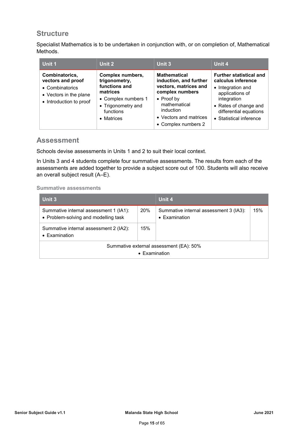### **Structure**

Specialist Mathematics is to be undertaken in conjunction with, or on completion of, Mathematical Methods.

| Unit 1                                                                                                      | Unit 2                                                                                                                                 | Unit 3                                                                                                                                                                                        | Unit 4                                                                                                                                                                                    |
|-------------------------------------------------------------------------------------------------------------|----------------------------------------------------------------------------------------------------------------------------------------|-----------------------------------------------------------------------------------------------------------------------------------------------------------------------------------------------|-------------------------------------------------------------------------------------------------------------------------------------------------------------------------------------------|
| Combinatorics,<br>vectors and proof<br>• Combinatorics<br>• Vectors in the plane<br>• Introduction to proof | Complex numbers,<br>trigonometry,<br>functions and<br>matrices<br>• Complex numbers 1<br>• Trigonometry and<br>functions<br>• Matrices | <b>Mathematical</b><br>induction, and further<br>vectors, matrices and<br>complex numbers<br>$\bullet$ Proof by<br>mathematical<br>induction<br>• Vectors and matrices<br>• Complex numbers 2 | <b>Further statistical and</b><br>calculus inference<br>• Integration and<br>applications of<br>integration<br>• Rates of change and<br>differential equations<br>• Statistical inference |

### **Assessment**

Schools devise assessments in Units 1 and 2 to suit their local context.

In Units 3 and 4 students complete four summative assessments. The results from each of the assessments are added together to provide a subject score out of 100. Students will also receive an overall subject result (A–E).

#### **Summative assessments**

| Unit 3                                                                         |               | Unit 4                                                          |     |
|--------------------------------------------------------------------------------|---------------|-----------------------------------------------------------------|-----|
| Summative internal assessment 1 (IA1):<br>• Problem-solving and modelling task | 20%           | Summative internal assessment 3 (IA3):<br>$\bullet$ Examination | 15% |
| Summative internal assessment 2 (IA2):<br>• Examination                        | 15%           |                                                                 |     |
|                                                                                | • Examination | Summative external assessment (EA): 50%                         |     |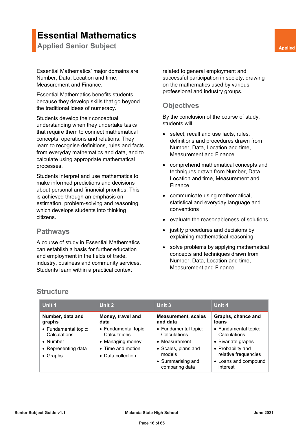### **Essential Mathematics**

**Applied Senior Subject <b>Applied** Senior Subject **Applied** 

Essential Mathematics' major domains are Number, Data, Location and time, Measurement and Finance.

Essential Mathematics benefits students because they develop skills that go beyond the traditional ideas of numeracy.

Students develop their conceptual understanding when they undertake tasks that require them to connect mathematical concepts, operations and relations. They learn to recognise definitions, rules and facts from everyday mathematics and data, and to calculate using appropriate mathematical processes.

Students interpret and use mathematics to make informed predictions and decisions about personal and financial priorities. This is achieved through an emphasis on estimation, problem-solving and reasoning, which develops students into thinking citizens.

### **Pathways**

A course of study in Essential Mathematics can establish a basis for further education and employment in the fields of trade, industry, business and community services. Students learn within a practical context

related to general employment and successful participation in society, drawing on the mathematics used by various professional and industry groups.

### **Objectives**

By the conclusion of the course of study, students will:

- select, recall and use facts, rules, definitions and procedures drawn from Number, Data, Location and time, Measurement and Finance
- comprehend mathematical concepts and techniques drawn from Number, Data, Location and time, Measurement and Finance
- communicate using mathematical, statistical and everyday language and conventions
- evaluate the reasonableness of solutions
- justify procedures and decisions by explaining mathematical reasoning
- solve problems by applying mathematical concepts and techniques drawn from Number, Data, Location and time, Measurement and Finance.

### **Structure**

| Unit 1                                                                                              | Unit 2                                                                                             | Unit 3                                                                                                                        | Unit 4                                                                                                                                      |
|-----------------------------------------------------------------------------------------------------|----------------------------------------------------------------------------------------------------|-------------------------------------------------------------------------------------------------------------------------------|---------------------------------------------------------------------------------------------------------------------------------------------|
| Number, data and<br>graphs                                                                          | Money, travel and<br>data                                                                          | <b>Measurement, scales</b><br>and data                                                                                        | Graphs, chance and<br>loans                                                                                                                 |
| • Fundamental topic:<br>Calculations<br>$\bullet$ Number<br>• Representing data<br>$\bullet$ Graphs | • Fundamental topic:<br>Calculations<br>• Managing money<br>• Time and motion<br>• Data collection | • Fundamental topic:<br>Calculations<br>• Measurement<br>• Scales, plans and<br>models<br>• Summarising and<br>comparing data | • Fundamental topic:<br>Calculations<br>• Bivariate graphs<br>• Probability and<br>relative frequencies<br>• Loans and compound<br>interest |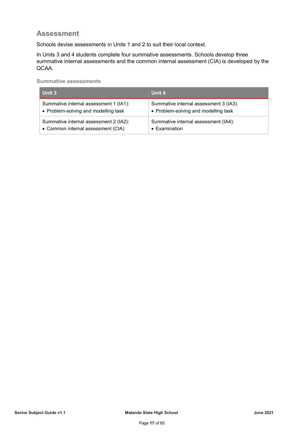### **Assessment**

Schools devise assessments in Units 1 and 2 to suit their local context.

In Units 3 and 4 students complete four summative assessments. Schools develop three summative internal assessments and the common internal assessment (CIA) is developed by the QCAA.

**Summative assessments**

| Unit 3                                 | Unit 4                                 |
|----------------------------------------|----------------------------------------|
| Summative internal assessment 1 (IA1): | Summative internal assessment 3 (IA3): |
| • Problem-solving and modelling task   | • Problem-solving and modelling task   |
| Summative internal assessment 2 (IA2): | Summative internal assessment (IA4):   |
| • Common internal assessment (CIA)     | $\bullet$ Examination                  |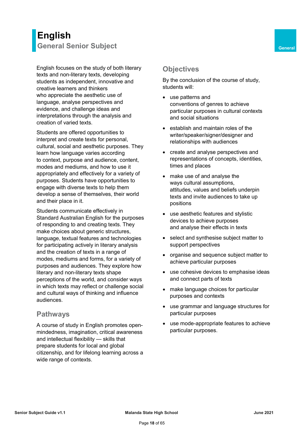### <span id="page-19-0"></span>**English General Senior Subject <b>General General**

English focuses on the study of both literary texts and non-literary texts, developing students as independent, innovative and creative learners and thinkers who appreciate the aesthetic use of language, analyse perspectives and evidence, and challenge ideas and interpretations through the analysis and creation of varied texts.

Students are offered opportunities to interpret and create texts for personal, cultural, social and aesthetic purposes. They learn how language varies according to context, purpose and audience, content, modes and mediums, and how to use it appropriately and effectively for a variety of purposes. Students have opportunities to engage with diverse texts to help them develop a sense of themselves, their world and their place in it.

Students communicate effectively in Standard Australian English for the purposes of responding to and creating texts. They make choices about generic structures, language, textual features and technologies for participating actively in literary analysis and the creation of texts in a range of modes, mediums and forms, for a variety of purposes and audiences. They explore how literary and non-literary texts shape perceptions of the world, and consider ways in which texts may reflect or challenge social and cultural ways of thinking and influence audiences.

### **Pathways**

A course of study in English promotes openmindedness, imagination, critical awareness and intellectual flexibility — skills that prepare students for local and global citizenship, and for lifelong learning across a wide range of contexts.

### **Objectives**

By the conclusion of the course of study, students will:

- use patterns and conventions of genres to achieve particular purposes in cultural contexts and social situations
- establish and maintain roles of the writer/speaker/signer/designer and relationships with audiences
- create and analyse perspectives and representations of concepts, identities, times and places
- make use of and analyse the ways cultural assumptions, attitudes, values and beliefs underpin texts and invite audiences to take up positions
- use aesthetic features and stylistic devices to achieve purposes and analyse their effects in texts
- select and synthesise subject matter to support perspectives
- organise and sequence subject matter to achieve particular purposes
- use cohesive devices to emphasise ideas and connect parts of texts
- make language choices for particular purposes and contexts
- use grammar and language structures for particular purposes
- use mode-appropriate features to achieve particular purposes.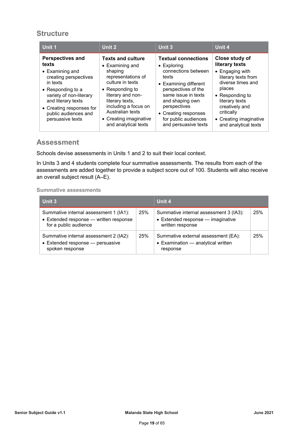### **Structure**

| Unit 1                                                                                                                                                                                                                                         | Unit 2                                                                                                                                                                                                                                                            | Unit 3                                                                                                                                                                                                                                                              | Unit 4                                                                                                                                                                                                                           |
|------------------------------------------------------------------------------------------------------------------------------------------------------------------------------------------------------------------------------------------------|-------------------------------------------------------------------------------------------------------------------------------------------------------------------------------------------------------------------------------------------------------------------|---------------------------------------------------------------------------------------------------------------------------------------------------------------------------------------------------------------------------------------------------------------------|----------------------------------------------------------------------------------------------------------------------------------------------------------------------------------------------------------------------------------|
| <b>Perspectives and</b><br>texts<br>$\bullet$ Examining and<br>creating perspectives<br>in texts<br>• Responding to a<br>variety of non-literary<br>and literary texts<br>• Creating responses for<br>public audiences and<br>persuasive texts | <b>Texts and culture</b><br>$\bullet$ Examining and<br>shaping<br>representations of<br>culture in texts<br>• Responding to<br>literary and non-<br>literary texts,<br>including a focus on<br>Australian texts<br>• Creating imaginative<br>and analytical texts | <b>Textual connections</b><br>$\bullet$ Exploring<br>connections between<br>texts<br>• Examining different<br>perspectives of the<br>same issue in texts<br>and shaping own<br>perspectives<br>• Creating responses<br>for public audiences<br>and persuasive texts | Close study of<br>literary texts<br>• Engaging with<br>literary texts from<br>diverse times and<br>places<br>• Responding to<br>literary texts<br>creatively and<br>critically<br>• Creating imaginative<br>and analytical texts |

### **Assessment**

Schools devise assessments in Units 1 and 2 to suit their local context.

In Units 3 and 4 students complete four summative assessments. The results from each of the assessments are added together to provide a subject score out of 100. Students will also receive an overall subject result (A–E).

**Summative assessments**

| Unit 3                                                                                                    |     | Unit 4                                                                                          |     |
|-----------------------------------------------------------------------------------------------------------|-----|-------------------------------------------------------------------------------------------------|-----|
| Summative internal assessment 1 (IA1):<br>• Extended response - written response<br>for a public audience | 25% | Summative internal assessment 3 (IA3):<br>• Extended response - imaginative<br>written response | 25% |
| Summative internal assessment 2 (IA2):<br>• Extended response - persuasive<br>spoken response             | 25% | Summative external assessment (EA):<br>• Examination - analytical written<br>response           | 25% |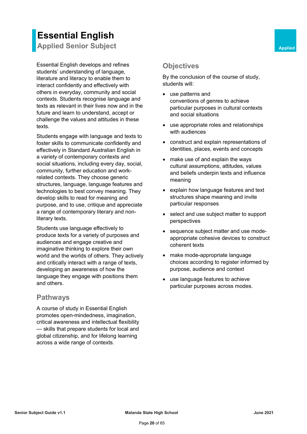### **Essential English Applied Senior Subject <b>Applied** Senior Subject

Essential English develops and refines students' understanding of language, literature and literacy to enable them to interact confidently and effectively with others in everyday, community and social contexts. Students recognise language and texts as relevant in their lives now and in the future and learn to understand, accept or challenge the values and attitudes in these texts.

Students engage with language and texts to foster skills to communicate confidently and effectively in Standard Australian English in a variety of contemporary contexts and social situations, including every day, social, community, further education and workrelated contexts. They choose generic structures, language, language features and technologies to best convey meaning. They develop skills to read for meaning and purpose, and to use, critique and appreciate a range of contemporary literary and nonliterary texts.

Students use language effectively to produce texts for a variety of purposes and audiences and engage creative and imaginative thinking to explore their own world and the worlds of others. They actively and critically interact with a range of texts, developing an awareness of how the language they engage with positions them and others.

### **Pathways**

A course of study in Essential English promotes open-mindedness, imagination, critical awareness and intellectual flexibility — skills that prepare students for local and global citizenship, and for lifelong learning across a wide range of contexts.

### **Objectives**

By the conclusion of the course of study, students will:

- use patterns and conventions of genres to achieve particular purposes in cultural contexts and social situations
- use appropriate roles and relationships with audiences
- construct and explain representations of identities, places, events and concepts
- make use of and explain the ways cultural assumptions, attitudes, values and beliefs underpin texts and influence meaning
- explain how language features and text structures shape meaning and invite particular responses
- select and use subject matter to support perspectives
- sequence subject matter and use modeappropriate cohesive devices to construct coherent texts
- make mode-appropriate language choices according to register informed by purpose, audience and context
- use language features to achieve particular purposes across modes.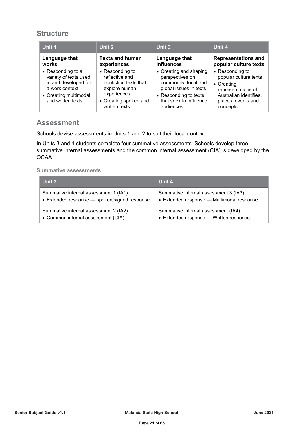### **Structure**

| Unit 1                                                                                                                                     | Unit 2                                                                                                                               | Unit 3                                                                                                                                                      | Unit 4                                                                                                                                                   |
|--------------------------------------------------------------------------------------------------------------------------------------------|--------------------------------------------------------------------------------------------------------------------------------------|-------------------------------------------------------------------------------------------------------------------------------------------------------------|----------------------------------------------------------------------------------------------------------------------------------------------------------|
| Language that<br>works                                                                                                                     | <b>Texts and human</b><br>experiences                                                                                                | Language that<br>influences                                                                                                                                 | <b>Representations and</b><br>popular culture texts                                                                                                      |
| $\bullet$ Responding to a<br>variety of texts used<br>in and developed for<br>a work context<br>• Creating multimodal<br>and written texts | • Responding to<br>reflective and<br>nonfiction texts that<br>explore human<br>experiences<br>• Creating spoken and<br>written texts | • Creating and shaping<br>perspectives on<br>community, local and<br>global issues in texts<br>• Responding to texts<br>that seek to influence<br>audiences | $\bullet$ Responding to<br>popular culture texts<br>$\bullet$ Creating<br>representations of<br>Australian identifies,<br>places, events and<br>concepts |

### **Assessment**

Schools devise assessments in Units 1 and 2 to suit their local context.

In Units 3 and 4 students complete four summative assessments. Schools develop three summative internal assessments and the common internal assessment (CIA) is developed by the QCAA.

**Summative assessments**

| Unit 3                                       | Unit 4                                    |
|----------------------------------------------|-------------------------------------------|
| Summative internal assessment 1 (IA1):       | Summative internal assessment 3 (IA3):    |
| • Extended response - spoken/signed response | • Extended response - Multimodal response |
| Summative internal assessment 2 (IA2):       | Summative internal assessment (IA4):      |
| • Common internal assessment (CIA)           | • Extended response - Written response    |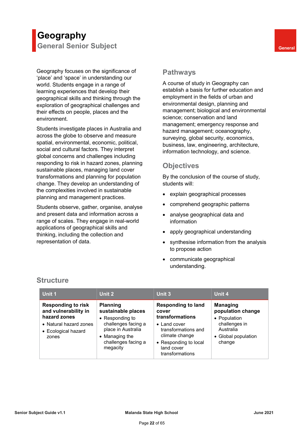### **Geography General Senior Subject <b>General General**

Geography focuses on the significance of 'place' and 'space' in understanding our world. Students engage in a range of learning experiences that develop their geographical skills and thinking through the exploration of geographical challenges and their effects on people, places and the environment.

Students investigate places in Australia and across the globe to observe and measure spatial, environmental, economic, political, social and cultural factors. They interpret global concerns and challenges including responding to risk in hazard zones, planning sustainable places, managing land cover transformations and planning for population change. They develop an understanding of the complexities involved in sustainable planning and management practices.

Students observe, gather, organise, analyse and present data and information across a range of scales. They engage in real-world applications of geographical skills and thinking, including the collection and representation of data.

### **Pathways**

A course of study in Geography can establish a basis for further education and employment in the fields of urban and environmental design, planning and management; biological and environmental science; conservation and land management; emergency response and hazard management; oceanography, surveying, global security, economics, business, law, engineering, architecture, information technology, and science.

### **Objectives**

By the conclusion of the course of study, students will:

- explain geographical processes
- comprehend geographic patterns
- analyse geographical data and information
- apply geographical understanding
- synthesise information from the analysis to propose action
- communicate geographical understanding.

| Unit 1                                                                                                                      | Unit 2                                                                                                                                                     | Unit 3                                                                                                                                                                           | Unit 4                                                                                                              |
|-----------------------------------------------------------------------------------------------------------------------------|------------------------------------------------------------------------------------------------------------------------------------------------------------|----------------------------------------------------------------------------------------------------------------------------------------------------------------------------------|---------------------------------------------------------------------------------------------------------------------|
| <b>Responding to risk</b><br>and vulnerability in<br>hazard zones<br>• Natural hazard zones<br>• Ecological hazard<br>zones | <b>Planning</b><br>sustainable places<br>• Responding to<br>challenges facing a<br>place in Australia<br>• Managing the<br>challenges facing a<br>megacity | <b>Responding to land</b><br>cover<br>transformations<br>$\bullet$ Land cover<br>transformations and<br>climate change<br>• Responding to local<br>land cover<br>transformations | <b>Managing</b><br>population change<br>• Population<br>challenges in<br>Australia<br>• Global population<br>change |

### **Structure**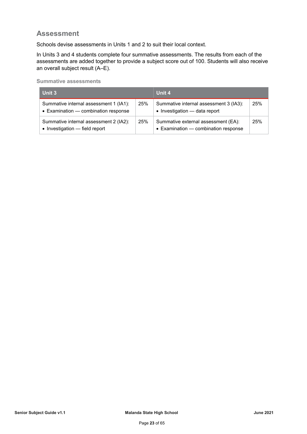### **Assessment**

Schools devise assessments in Units 1 and 2 to suit their local context.

In Units 3 and 4 students complete four summative assessments. The results from each of the assessments are added together to provide a subject score out of 100. Students will also receive an overall subject result (A–E).

**Summative assessments**

| <b>Unit 3</b>                                                                  |     | Unit 4                                                                          |     |
|--------------------------------------------------------------------------------|-----|---------------------------------------------------------------------------------|-----|
| Summative internal assessment 1 (IA1):<br>• Examination - combination response | 25% | Summative internal assessment 3 (IA3):<br>$\bullet$ Investigation — data report | 25% |
| Summative internal assessment 2 (IA2):<br>• Investigation — field report       | 25% | Summative external assessment (EA):<br>• Examination - combination response     | 25% |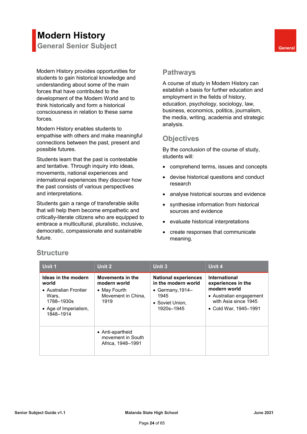### **Modern History General Senior Subject <b>General General**

Modern History provides opportunities for students to gain historical knowledge and understanding about some of the main forces that have contributed to the development of the Modern World and to think historically and form a historical consciousness in relation to these same forces.

Modern History enables students to empathise with others and make meaningful connections between the past, present and possible futures.

Students learn that the past is contestable and tentative. Through inquiry into ideas, movements, national experiences and international experiences they discover how the past consists of various perspectives and interpretations.

Students gain a range of transferable skills that will help them become empathetic and critically-literate citizens who are equipped to embrace a multicultural, pluralistic, inclusive, democratic, compassionate and sustainable future.

### **Pathways**

A course of study in Modern History can establish a basis for further education and employment in the fields of history, education, psychology, sociology, law, business, economics, politics, journalism, the media, writing, academia and strategic analysis.

### **Objectives**

By the conclusion of the course of study, students will:

- comprehend terms, issues and concepts
- devise historical questions and conduct research
- analyse historical sources and evidence
- synthesise information from historical sources and evidence
- evaluate historical interpretations
- create responses that communicate meaning.

| Unit 1                                                                                                             | Unit 2                                                                         | Unit 3                                                                                                            | Unit 4                                                                                                                          |
|--------------------------------------------------------------------------------------------------------------------|--------------------------------------------------------------------------------|-------------------------------------------------------------------------------------------------------------------|---------------------------------------------------------------------------------------------------------------------------------|
| Ideas in the modern<br>world<br>• Australian Frontier<br>Wars,<br>1788-1930s<br>• Age of Imperialism,<br>1848-1914 | Movements in the<br>modern world<br>• May Fourth<br>Movement in China,<br>1919 | <b>National experiences</b><br>in the modern world<br>• Germany, $1914-$<br>1945<br>• Soviet Union,<br>1920s-1945 | International<br>experiences in the<br>modern world<br>• Australian engagement<br>with Asia since 1945<br>• Cold War, 1945–1991 |
|                                                                                                                    | • Anti-apartheid<br>movement in South<br>Africa, 1948-1991                     |                                                                                                                   |                                                                                                                                 |

### **Structure**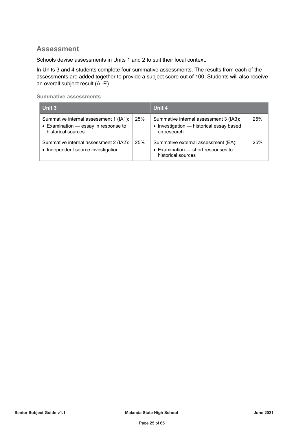### **Assessment**

Schools devise assessments in Units 1 and 2 to suit their local context.

In Units 3 and 4 students complete four summative assessments. The results from each of the assessments are added together to provide a subject score out of 100. Students will also receive an overall subject result (A–E).

**Summative assessments**

| Unit 3                                                                                               |     | Unit 4                                                                                                          |     |
|------------------------------------------------------------------------------------------------------|-----|-----------------------------------------------------------------------------------------------------------------|-----|
| Summative internal assessment 1 (IA1):<br>• Examination - essay in response to<br>historical sources | 25% | Summative internal assessment 3 (IA3):<br>• Investigation - historical essay based<br>on research               | 25% |
| Summative internal assessment 2 (IA2):<br>• Independent source investigation                         | 25% | Summative external assessment (EA):<br>$\bullet$ Examination $\bullet$ short responses to<br>historical sources | 25% |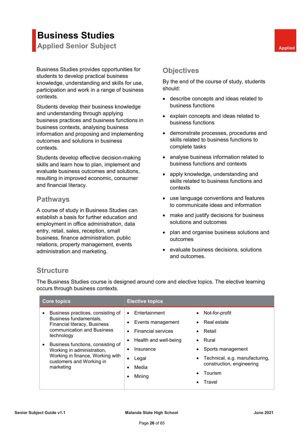# **Business Studies**

**Applied Senior Subject <b>Applied** Senior Subject **Applied** 

Business Studies provides opportunities for students to develop practical business knowledge, understanding and skills for use, participation and work in a range of business contexts.

Students develop their business knowledge and understanding through applying business practices and business functions in business contexts, analysing business information and proposing and implementing outcomes and solutions in business contexts.

Students develop effective decision-making skills and learn how to plan, implement and evaluate business outcomes and solutions, resulting in improved economic, consumer and financial literacy.

### **Pathways**

A course of study in Business Studies can establish a basis for further education and employment in office administration, data entry, retail, sales, reception, small business, finance administration, public relations, property management, events administration and marketing.

### **Objectives**

By the end of the course of study, students should:

- describe concepts and ideas related to business functions
- explain concepts and ideas related to business functions
- demonstrate processes, procedures and skills related to business functions to complete tasks
- analyse business information related to business functions and contexts
- apply knowledge, understanding and skills related to business functions and contexts
- use language conventions and features to communicate ideas and information
- make and justify decisions for business solutions and outcomes
- plan and organise business solutions and outcomes
- evaluate business decisions, solutions and outcomes.

### **Structure**

The Business Studies course is designed around core and elective topics. The elective learning occurs through business contexts.

| Entertainment<br>$\bullet$             | Not-for-profit                 |
|----------------------------------------|--------------------------------|
| Events management                      | Real estate                    |
| <b>Financial services</b><br>$\bullet$ | Retail                         |
| Health and well-being                  | $\bullet$ Rural                |
| Insurance                              | Sports management              |
| Legal                                  | Technical, e.g. manufacturing, |
| Media                                  | construction, engineering      |
| Mining                                 | Tourism                        |
|                                        | Travel                         |
|                                        | <b>Elective topics</b>         |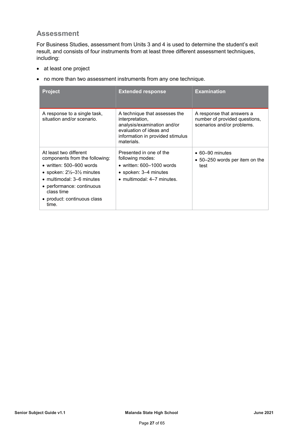### **Assessment**

For Business Studies, assessment from Units 3 and 4 is used to determine the student's exit result, and consists of four instruments from at least three different assessment techniques, including:

- at least one project
- no more than two assessment instruments from any one technique.

| <b>Project</b>                                                                                                                                                                                                                                                | <b>Extended response</b>                                                                                                                                     | <b>Examination</b>                                                                       |
|---------------------------------------------------------------------------------------------------------------------------------------------------------------------------------------------------------------------------------------------------------------|--------------------------------------------------------------------------------------------------------------------------------------------------------------|------------------------------------------------------------------------------------------|
| A response to a single task,<br>situation and/or scenario.                                                                                                                                                                                                    | A technique that assesses the<br>interpretation,<br>analysis/examination and/or<br>evaluation of ideas and<br>information in provided stimulus<br>materials. | A response that answers a<br>number of provided questions,<br>scenarios and/or problems. |
| At least two different<br>components from the following:<br>• written: $500 - 900$ words<br>• spoken: $2\frac{1}{2}$ –3 $\frac{1}{2}$ minutes<br>• multimodal: 3–6 minutes<br>• performance: continuous<br>class time<br>• product: continuous class<br>time. | Presented in one of the<br>following modes:<br>• written: $600-1000$ words<br>• spoken: 3–4 minutes<br>$\bullet$ multimodal: 4-7 minutes.                    | $\bullet$ 60–90 minutes<br>• 50–250 words per item on the<br>test                        |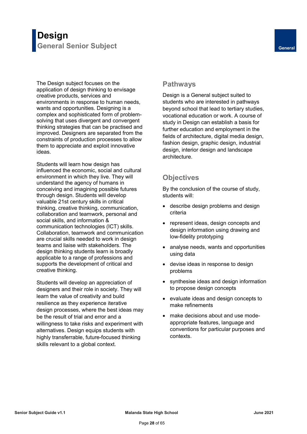### **Design General Senior Subject <b>General General**

The Design subject focuses on the application of design thinking to envisage creative products, services and environments in response to human needs, wants and opportunities. Designing is a complex and sophisticated form of problemsolving that uses divergent and convergent thinking strategies that can be practised and improved. Designers are separated from the constraints of production processes to allow them to appreciate and exploit innovative ideas.

Students will learn how design has influenced the economic, social and cultural environment in which they live. They will understand the agency of humans in conceiving and imagining possible futures through design. Students will develop valuable 21st century skills in critical thinking, creative thinking, communication, collaboration and teamwork, personal and social skills, and information & communication technologies (ICT) skills. Collaboration, teamwork and communication are crucial skills needed to work in design teams and liaise with stakeholders. The design thinking students learn is broadly applicable to a range of professions and supports the development of critical and creative thinking.

Students will develop an appreciation of designers and their role in society. They will learn the value of creativity and build resilience as they experience iterative design processes, where the best ideas may be the result of trial and error and a willingness to take risks and experiment with alternatives. Design equips students with highly transferrable, future-focused thinking skills relevant to a global context.

### **Pathways**

Design is a General subject suited to students who are interested in pathways beyond school that lead to tertiary studies, vocational education or work. A course of study in Design can establish a basis for further education and employment in the fields of architecture, digital media design, fashion design, graphic design, industrial design, interior design and landscape architecture.

### **Objectives**

By the conclusion of the course of study, students will:

- describe design problems and design criteria
- represent ideas, design concepts and design information using drawing and low-fidelity prototyping
- analyse needs, wants and opportunities using data
- devise ideas in response to design problems
- synthesise ideas and design information to propose design concepts
- evaluate ideas and design concepts to make refinements
- make decisions about and use modeappropriate features, language and conventions for particular purposes and contexts.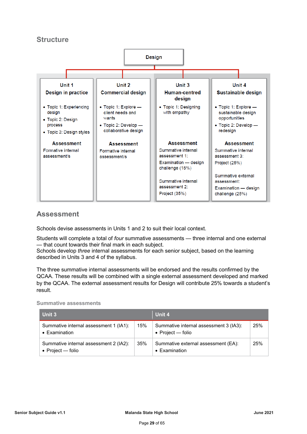### **Structure**



### **Assessment**

Schools devise assessments in Units 1 and 2 to suit their local context.

Students will complete a total of *four* summative assessments — three internal and one external — that count towards their final mark in each subject.

Schools develop *three* internal assessments for each senior subject, based on the learning described in Units 3 and 4 of the syllabus.

The three summative internal assessments will be endorsed and the results confirmed by the QCAA. These results will be combined with a single external assessment developed and marked by the QCAA. The external assessment results for Design will contribute 25% towards a student's result.

**Summative assessments**

| Unit 3                                                        |     | Unit 4                                                        |     |
|---------------------------------------------------------------|-----|---------------------------------------------------------------|-----|
| Summative internal assessment 1 (IA1):<br>• Examination       | 15% | Summative internal assessment 3 (IA3):<br>• Project $-$ folio | 25% |
| Summative internal assessment 2 (IA2):<br>• Project $-$ folio | 35% | Summative external assessment (EA):<br>$\bullet$ Examination  | 25% |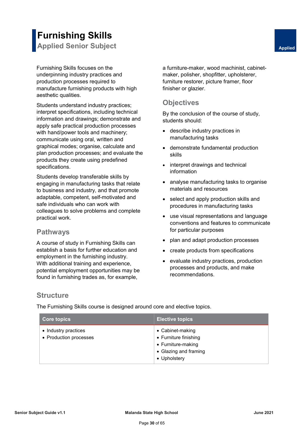Furnishing Skills focuses on the underpinning industry practices and production processes required to manufacture furnishing products with high aesthetic qualities.

Students understand industry practices; interpret specifications, including technical information and drawings; demonstrate and apply safe practical production processes with hand/power tools and machinery; communicate using oral, written and graphical modes; organise, calculate and plan production processes; and evaluate the products they create using predefined specifications.

Students develop transferable skills by engaging in manufacturing tasks that relate to business and industry, and that promote adaptable, competent, self-motivated and safe individuals who can work with colleagues to solve problems and complete practical work.

### **Pathways**

A course of study in Furnishing Skills can establish a basis for further education and employment in the furnishing industry. With additional training and experience, potential employment opportunities may be found in furnishing trades as, for example,

a furniture-maker, wood machinist, cabinetmaker, polisher, shopfitter, upholsterer, furniture restorer, picture framer, floor finisher or glazier.

### **Objectives**

By the conclusion of the course of study, students should:

- describe industry practices in manufacturing tasks
- demonstrate fundamental production skills
- interpret drawings and technical information
- analyse manufacturing tasks to organise materials and resources
- select and apply production skills and procedures in manufacturing tasks
- use visual representations and language conventions and features to communicate for particular purposes
- plan and adapt production processes
- create products from specifications
- evaluate industry practices, production processes and products, and make recommendations.

### **Structure**

The Furnishing Skills course is designed around core and elective topics.

| <b>Core topics</b>                             | <b>Elective topics</b>                                                                                   |
|------------------------------------------------|----------------------------------------------------------------------------------------------------------|
| • Industry practices<br>• Production processes | • Cabinet-making<br>• Furniture finishing<br>• Furniture-making<br>• Glazing and framing<br>• Upholstery |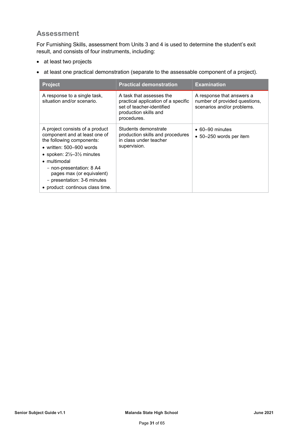### **Assessment**

For Furnishing Skills, assessment from Units 3 and 4 is used to determine the student's exit result, and consists of four instruments, including:

- at least two projects
- at least one practical demonstration (separate to the assessable component of a project).

| <b>Project</b>                                                                                                                                                                                                                                                                                                                         | <b>Practical demonstration</b>                                                                                                       | <b>Examination</b>                                                                       |
|----------------------------------------------------------------------------------------------------------------------------------------------------------------------------------------------------------------------------------------------------------------------------------------------------------------------------------------|--------------------------------------------------------------------------------------------------------------------------------------|------------------------------------------------------------------------------------------|
| A response to a single task,<br>situation and/or scenario.                                                                                                                                                                                                                                                                             | A task that assesses the<br>practical application of a specific<br>set of teacher-identified<br>production skills and<br>procedures. | A response that answers a<br>number of provided questions,<br>scenarios and/or problems. |
| A project consists of a product<br>component and at least one of<br>the following components:<br>• written: $500 - 900$ words<br>• spoken: $2\frac{1}{2}$ –3 $\frac{1}{2}$ minutes<br>$\bullet$ multimodal<br>- non-presentation: 8 A4<br>pages max (or equivalent)<br>- presentation: 3-6 minutes<br>• product: continous class time. | Students demonstrate<br>production skills and procedures<br>in class under teacher<br>supervision.                                   | $\bullet$ 60–90 minutes<br>$\bullet$ 50–250 words per item                               |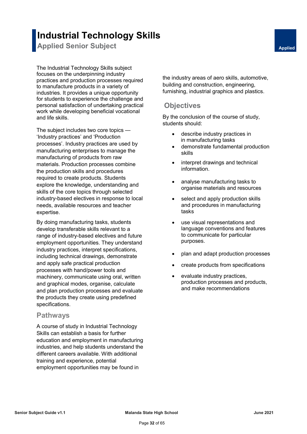### **Industrial Technology Skills**

**Applied Senior Subject <b>Applied** Senior Subject **Applied** 

The Industrial Technology Skills subject focuses on the underpinning industry practices and production processes required to manufacture products in a variety of industries. It provides a unique opportunity for students to experience the challenge and personal satisfaction of undertaking practical work while developing beneficial vocational and life skills.

The subject includes two core topics — 'Industry practices' and 'Production processes'. Industry practices are used by manufacturing enterprises to manage the manufacturing of products from raw materials. Production processes combine the production skills and procedures required to create products. Students explore the knowledge, understanding and skills of the core topics through selected industry-based electives in response to local needs, available resources and teacher expertise.

By doing manufacturing tasks, students develop transferable skills relevant to a range of industry-based electives and future employment opportunities. They understand industry practices, interpret specifications, including technical drawings, demonstrate and apply safe practical production processes with hand/power tools and machinery, communicate using oral, written and graphical modes, organise, calculate and plan production processes and evaluate the products they create using predefined specifications.

### **Pathways**

A course of study in Industrial Technology Skills can establish a basis for further education and employment in manufacturing industries, and help students understand the different careers available. With additional training and experience, potential employment opportunities may be found in

the industry areas of aero skills, automotive, building and construction, engineering, furnishing, industrial graphics and plastics.

### **Objectives**

By the conclusion of the course of study, students should:

- describe industry practices in in manufacturing tasks
- demonstrate fundamental production skills
- interpret drawings and technical information.
- analyse manufacturing tasks to organise materials and resources
- select and apply production skills and procedures in manufacturing tasks
- use visual representations and language conventions and features to communicate for particular purposes.
- plan and adapt production processes
- create products from specifications
- evaluate industry practices, production processes and products, and make recommendations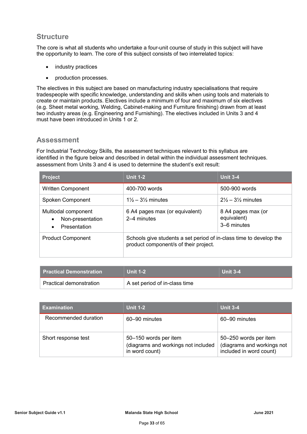### **Structure**

The core is what all students who undertake a four-unit course of study in this subject will have the opportunity to learn. The core of this subject consists of two interrelated topics:

- industry practices
- production processes.

The electives in this subject are based on manufacturing industry specialisations that require tradespeople with specific knowledge, understanding and skills when using tools and materials to create or maintain products. Electives include a minimum of four and maximum of six electives (e.g. Sheet metal working, Welding, Cabinet-making and Furniture finishing) drawn from at least two industry areas (e.g. Engineering and Furnishing). The electives included in Units 3 and 4 must have been introduced in Units 1 or 2.

### **Assessment**

For Industrial Technology Skills, the assessment techniques relevant to this syllabus are identified in the figure below and described in detail within the individual assessment techniques. assessment from Units 3 and 4 is used to determine the student's exit result:

| <b>Project</b>                                                                           | <b>Unit 1-2</b>                                                                                             | <b>Unit 3-4</b>                                  |
|------------------------------------------------------------------------------------------|-------------------------------------------------------------------------------------------------------------|--------------------------------------------------|
| <b>Written Component</b>                                                                 | 400-700 words                                                                                               | 500-900 words                                    |
| Spoken Component                                                                         | $1\frac{1}{2} - 3\frac{1}{2}$ minutes                                                                       | $2\% - 3\%$ minutes                              |
| Multiodal component<br>Non-presentation<br>$\bullet$<br><b>Presentation</b><br>$\bullet$ | 6 A4 pages max (or equivalent)<br>2–4 minutes                                                               | 8 A4 pages max (or<br>equivalent)<br>3–6 minutes |
| <b>Product Component</b>                                                                 | Schools give students a set period of in-class time to develop the<br>product component/s of their project. |                                                  |

| l Practical Demonstration \ | <b>Unit 1-2</b>               | <b>Unit 3-4</b> |
|-----------------------------|-------------------------------|-----------------|
| Practical demonstration     | A set period of in-class time |                 |

| <b>Examination</b>   | <b>Unit 1-2</b>                                                                | <b>Unit 3-4</b>                                                                |
|----------------------|--------------------------------------------------------------------------------|--------------------------------------------------------------------------------|
| Recommended duration | 60–90 minutes                                                                  | 60–90 minutes                                                                  |
| Short response test  | 50-150 words per item<br>(diagrams and workings not included<br>in word count) | 50-250 words per item<br>(diagrams and workings not<br>included in word count) |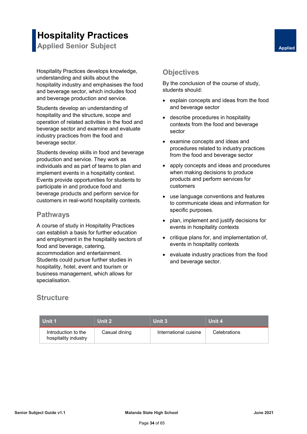## **Hospitality Practices**

**Applied Senior Subject <b>Applied** Senior Subject **Applied** 

Hospitality Practices develops knowledge, understanding and skills about the hospitality industry and emphasises the food and beverage sector, which includes food and beverage production and service.

Students develop an understanding of hospitality and the structure, scope and operation of related activities in the food and beverage sector and examine and evaluate industry practices from the food and beverage sector.

Students develop skills in food and beverage production and service. They work as individuals and as part of teams to plan and implement events in a hospitality context. Events provide opportunities for students to participate in and produce food and beverage products and perform service for customers in real-world hospitality contexts.

### **Pathways**

A course of study in Hospitality Practices can establish a basis for further education and employment in the hospitality sectors of food and beverage, catering, accommodation and entertainment. Students could pursue further studies in hospitality, hotel, event and tourism or business management, which allows for specialisation.

### **Objectives**

By the conclusion of the course of study, students should:

- explain concepts and ideas from the food and beverage sector
- describe procedures in hospitality contexts from the food and beverage sector
- examine concepts and ideas and procedures related to industry practices from the food and beverage sector
- apply concepts and ideas and procedures when making decisions to produce products and perform services for customers
- use language conventions and features to communicate ideas and information for specific purposes.
- plan, implement and justify decisions for events in hospitality contexts
- critique plans for, and implementation of, events in hospitality contexts
- evaluate industry practices from the food and beverage sector.

### **Structure**

| Unit 1                                      | Unit 2        | Unit 3                | Unit 4              |
|---------------------------------------------|---------------|-----------------------|---------------------|
| Introduction to the<br>hospitality industry | Casual dining | International cuisine | <b>Celebrations</b> |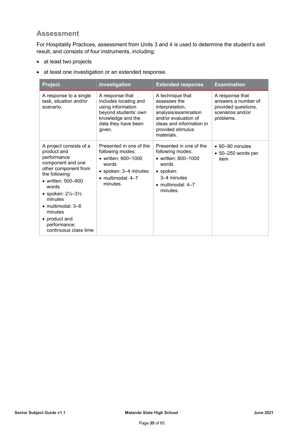### **Assessment**

For Hospitality Practices, assessment from Units 3 and 4 is used to determine the student's exit result, and consists of four instruments, including:

- at least two projects
- at least one investigation or an extended response.

| <b>Project</b>                                                                                                                                                                                                                                                                                              | Investigation                                                                                                                                       | <b>Extended response</b>                                                                                                                                           | <b>Examination</b>                                                                             |
|-------------------------------------------------------------------------------------------------------------------------------------------------------------------------------------------------------------------------------------------------------------------------------------------------------------|-----------------------------------------------------------------------------------------------------------------------------------------------------|--------------------------------------------------------------------------------------------------------------------------------------------------------------------|------------------------------------------------------------------------------------------------|
| A response to a single<br>task, situation and/or<br>scenario.                                                                                                                                                                                                                                               | A response that<br>includes locating and<br>using information<br>beyond students' own<br>knowledge and the<br>data they have been<br>given.         | A technique that<br>assesses the<br>interpretation,<br>analysis/examination<br>and/or evaluation of<br>ideas and information in<br>provided stimulus<br>materials. | A response that<br>answers a number of<br>provided questions,<br>scenarios and/or<br>problems. |
| A project consists of a<br>product and<br>performance<br>component and one<br>other component from<br>the following:<br>• written: 500-900<br>words<br>• spoken: $2\frac{1}{2} - 3\frac{1}{2}$<br>minutes<br>$\bullet$ multimodal: 3–6<br>minutes<br>• product and<br>performance:<br>continuous class time | Presented in one of the<br>following modes:<br>• written: $600 - 1000$<br>words<br>• spoken: 3-4 minutes<br>$\bullet$ multimodal: $4-7$<br>minutes. | Presented in one of the<br>following modes:<br>• written: 600-1000<br>words<br>$\bullet$ spoken:<br>3–4 minutes<br>$\bullet$ multimodal: 4-7<br>minutes.           | $\bullet$ 60-90 minutes<br>$\bullet$ 50–250 words per<br>item                                  |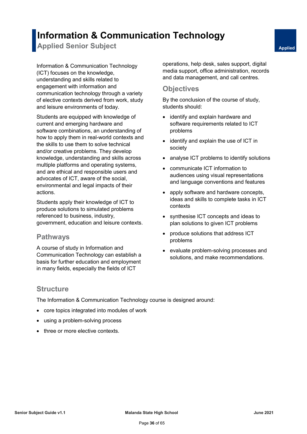### **Information & Communication Technology**

**Applied Senior Subject <b>Applied** Senior Subject **Applied** 

Information & Communication Technology (ICT) focuses on the knowledge, understanding and skills related to engagement with information and communication technology through a variety of elective contexts derived from work, study and leisure environments of today.

Students are equipped with knowledge of current and emerging hardware and software combinations, an understanding of how to apply them in real-world contexts and the skills to use them to solve technical and/or creative problems. They develop knowledge, understanding and skills across multiple platforms and operating systems, and are ethical and responsible users and advocates of ICT, aware of the social, environmental and legal impacts of their actions.

Students apply their knowledge of ICT to produce solutions to simulated problems referenced to business, industry, government, education and leisure contexts.

### **Pathways**

A course of study in Information and Communication Technology can establish a basis for further education and employment in many fields, especially the fields of ICT

operations, help desk, sales support, digital media support, office administration, records and data management, and call centres.

### **Objectives**

By the conclusion of the course of study, students should:

- identify and explain hardware and software requirements related to ICT problems
- identify and explain the use of ICT in society
- analyse ICT problems to identify solutions
- communicate ICT information to audiences using visual representations and language conventions and features
- apply software and hardware concepts, ideas and skills to complete tasks in ICT contexts
- synthesise ICT concepts and ideas to plan solutions to given ICT problems
- produce solutions that address ICT problems
- evaluate problem-solving processes and solutions, and make recommendations.

### **Structure**

The Information & Communication Technology course is designed around:

- core topics integrated into modules of work
- using a problem-solving process
- three or more elective contexts.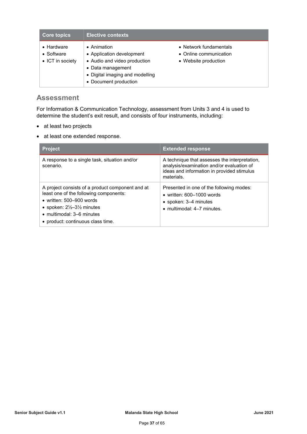| <b>Core topics</b>                                   | <b>Elective contexts</b>                                                                                                                                          |                                                                          |
|------------------------------------------------------|-------------------------------------------------------------------------------------------------------------------------------------------------------------------|--------------------------------------------------------------------------|
| $\bullet$ Hardware<br>• Software<br>• ICT in society | $\bullet$ Animation<br>• Application development<br>• Audio and video production<br>• Data management<br>• Digital imaging and modelling<br>• Document production | • Network fundamentals<br>• Online communication<br>• Website production |

### **Assessment**

For Information & Communication Technology, assessment from Units 3 and 4 is used to determine the student's exit result, and consists of four instruments, including:

- at least two projects
- at least one extended response.

| <b>Project</b>                                                                                                                                                                                                                                            | <b>Extended response</b>                                                                                                                               |
|-----------------------------------------------------------------------------------------------------------------------------------------------------------------------------------------------------------------------------------------------------------|--------------------------------------------------------------------------------------------------------------------------------------------------------|
| A response to a single task, situation and/or<br>scenario.                                                                                                                                                                                                | A technique that assesses the interpretation,<br>analysis/examination and/or evaluation of<br>ideas and information in provided stimulus<br>materials. |
| A project consists of a product component and at<br>least one of the following components:<br>• written: $500 - 900$ words<br>• spoken: $2\frac{1}{2}$ –3 $\frac{1}{2}$ minutes<br>$\bullet$ multimodal: 3–6 minutes<br>• product: continuous class time. | Presented in one of the following modes:<br>• written: $600-1000$ words<br>• spoken: 3–4 minutes<br>$\bullet$ multimodal: 4-7 minutes.                 |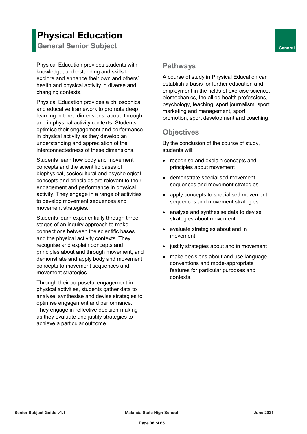### **Physical Education**

**General Senior Subject <b>General General** 

Physical Education provides students with knowledge, understanding and skills to explore and enhance their own and others' health and physical activity in diverse and changing contexts.

Physical Education provides a philosophical and educative framework to promote deep learning in three dimensions: about, through and in physical activity contexts. Students optimise their engagement and performance in physical activity as they develop an understanding and appreciation of the interconnectedness of these dimensions.

Students learn how body and movement concepts and the scientific bases of biophysical, sociocultural and psychological concepts and principles are relevant to their engagement and performance in physical activity. They engage in a range of activities to develop movement sequences and movement strategies.

Students learn experientially through three stages of an inquiry approach to make connections between the scientific bases and the physical activity contexts. They recognise and explain concepts and principles about and through movement, and demonstrate and apply body and movement concepts to movement sequences and movement strategies.

Through their purposeful engagement in physical activities, students gather data to analyse, synthesise and devise strategies to optimise engagement and performance. They engage in reflective decision-making as they evaluate and justify strategies to achieve a particular outcome.

### **Pathways**

A course of study in Physical Education can establish a basis for further education and employment in the fields of exercise science, biomechanics, the allied health professions, psychology, teaching, sport journalism, sport marketing and management, sport promotion, sport development and coaching.

### **Objectives**

By the conclusion of the course of study, students will:

- recognise and explain concepts and principles about movement
- demonstrate specialised movement sequences and movement strategies
- apply concepts to specialised movement sequences and movement strategies
- analyse and synthesise data to devise strategies about movement
- evaluate strategies about and in movement
- justify strategies about and in movement
- make decisions about and use language, conventions and mode-appropriate features for particular purposes and contexts.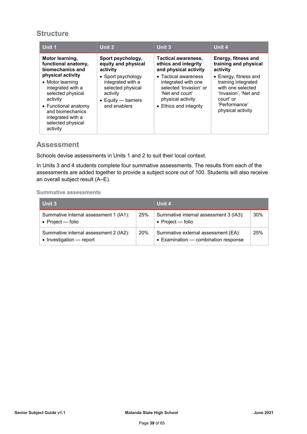### **Structure**

| Unit 1                                                                                                                                                                                        | Unit 2                                                                                                                  | Unit 3                                                                                                                                  | Unit 4                                                                                                                                               |
|-----------------------------------------------------------------------------------------------------------------------------------------------------------------------------------------------|-------------------------------------------------------------------------------------------------------------------------|-----------------------------------------------------------------------------------------------------------------------------------------|------------------------------------------------------------------------------------------------------------------------------------------------------|
| Motor learning,<br>functional anatomy,<br>biomechanics and                                                                                                                                    | Sport psychology,<br>equity and physical<br>activity                                                                    | <b>Tactical awareness,</b><br>ethics and integrity<br>and physical activity                                                             | Energy, fitness and<br>training and physical<br>activity                                                                                             |
| physical activity<br>• Motor learning<br>integrated with a<br>selected physical<br>activity<br>• Functional anatomy<br>and biomechanics<br>integrated with a<br>selected physical<br>activity | • Sport psychology<br>integrated with a<br>selected physical<br>activity<br>$\bullet$ Equity — barriers<br>and enablers | • Tactical awareness<br>integrated with one<br>selected 'Invasion' or<br>'Net and court'<br>physical activity<br>• Ethics and integrity | $\bullet$ Energy, fitness and<br>training integrated<br>with one selected<br>'Invasion', 'Net and<br>court' or<br>'Performance'<br>physical activity |

### **Assessment**

Schools devise assessments in Units 1 and 2 to suit their local context.

In Units 3 and 4 students complete four summative assessments. The results from each of the assessments are added together to provide a subject score out of 100. Students will also receive an overall subject result (A–E).

#### **Summative assessments**

| Unit 3                                                              |     | Unit 4                                                                      |     |
|---------------------------------------------------------------------|-----|-----------------------------------------------------------------------------|-----|
| Summative internal assessment 1 (IA1):<br>$\bullet$ Project — folio | 25% | Summative internal assessment 3 (IA3):<br>• Project $-$ folio               | 30% |
| Summative internal assessment 2 (IA2):<br>• Investigation - report  | 20% | Summative external assessment (EA):<br>• Examination - combination response | 25% |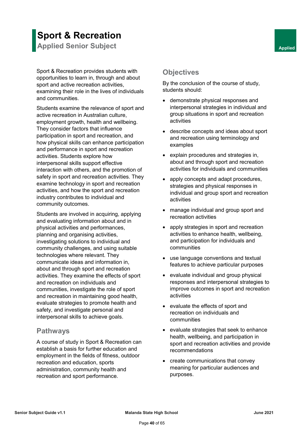### **Sport & Recreation Applied Senior Subject <b>Applied** Senior Subject **Applied**

Sport & Recreation provides students with opportunities to learn in, through and about sport and active recreation activities, examining their role in the lives of individuals and communities.

Students examine the relevance of sport and active recreation in Australian culture, employment growth, health and wellbeing. They consider factors that influence participation in sport and recreation, and how physical skills can enhance participation and performance in sport and recreation activities. Students explore how interpersonal skills support effective interaction with others, and the promotion of safety in sport and recreation activities. They examine technology in sport and recreation activities, and how the sport and recreation industry contributes to individual and community outcomes.

Students are involved in acquiring, applying and evaluating information about and in physical activities and performances, planning and organising activities, investigating solutions to individual and community challenges, and using suitable technologies where relevant. They communicate ideas and information in, about and through sport and recreation activities. They examine the effects of sport and recreation on individuals and communities, investigate the role of sport and recreation in maintaining good health, evaluate strategies to promote health and safety, and investigate personal and interpersonal skills to achieve goals.

### **Pathways**

A course of study in Sport & Recreation can establish a basis for further education and employment in the fields of fitness, outdoor recreation and education, sports administration, community health and recreation and sport performance.

### **Objectives**

By the conclusion of the course of study, students should:

- demonstrate physical responses and interpersonal strategies in individual and group situations in sport and recreation activities
- describe concepts and ideas about sport and recreation using terminology and examples
- explain procedures and strategies in, about and through sport and recreation activities for individuals and communities
- apply concepts and adapt procedures, strategies and physical responses in individual and group sport and recreation activities
- manage individual and group sport and recreation activities
- apply strategies in sport and recreation activities to enhance health, wellbeing, and participation for individuals and communities
- use language conventions and textual features to achieve particular purposes
- evaluate individual and group physical responses and interpersonal strategies to improve outcomes in sport and recreation activities
- evaluate the effects of sport and recreation on individuals and communities
- evaluate strategies that seek to enhance health, wellbeing, and participation in sport and recreation activities and provide recommendations
- create communications that convey meaning for particular audiences and purposes.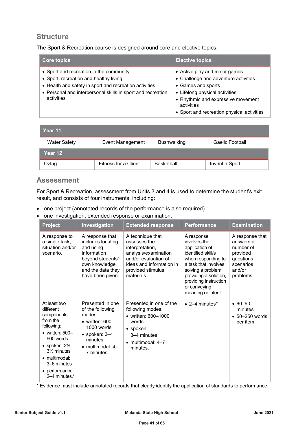### **Structure**

The Sport & Recreation course is designed around core and elective topics.

| <b>Core topics</b>                                                                                                                                                                                                       | <b>Elective topics</b>                                                                                                                                                                                                          |
|--------------------------------------------------------------------------------------------------------------------------------------------------------------------------------------------------------------------------|---------------------------------------------------------------------------------------------------------------------------------------------------------------------------------------------------------------------------------|
| • Sport and recreation in the community<br>• Sport, recreation and healthy living<br>• Health and safety in sport and recreation activities<br>• Personal and interpersonal skills in sport and recreation<br>activities | • Active play and minor games<br>• Challenge and adventure activities<br>• Games and sports<br>• Lifelong physical activities<br>• Rhythmic and expressive movement<br>activities<br>• Sport and recreation physical activities |

| Year 11             |                         |                    |                 |
|---------------------|-------------------------|--------------------|-----------------|
| <b>Water Safety</b> | <b>Event Management</b> | <b>Bushwalking</b> | Gaelic Football |
| Year 12             |                         |                    |                 |
| Oztag               | Fitness for a Client    | <b>Basketball</b>  | Invent a Sport  |

### **Assessment**

For Sport & Recreation, assessment from Units 3 and 4 is used to determine the student's exit result, and consists of four instruments, including:

- one project (annotated records of the performance is also required)
- one investigation, extended response or examination.

| <b>Project</b>                                                                                                                                                                                                                 | Investigation                                                                                                                                                           | <b>Extended response</b>                                                                                                                                           | <b>Performance</b>                                                                                                                                                                                                             | <b>Examination</b>                                                                                      |
|--------------------------------------------------------------------------------------------------------------------------------------------------------------------------------------------------------------------------------|-------------------------------------------------------------------------------------------------------------------------------------------------------------------------|--------------------------------------------------------------------------------------------------------------------------------------------------------------------|--------------------------------------------------------------------------------------------------------------------------------------------------------------------------------------------------------------------------------|---------------------------------------------------------------------------------------------------------|
| A response to<br>a single task,<br>situation and/or<br>scenario.                                                                                                                                                               | A response that<br>includes locating<br>and using<br>information<br>beyond students'<br>own knowledge<br>and the data they<br>have been given.                          | A technique that<br>assesses the<br>interpretation,<br>analysis/examination<br>and/or evaluation of<br>ideas and information in<br>provided stimulus<br>materials. | A response<br>involves the<br>application of<br>identified skill/s<br>when responding to<br>a task that involves<br>solving a problem,<br>providing a solution,<br>providing instruction<br>or conveying<br>meaning or intent. | A response that<br>answers a<br>number of<br>provided<br>questions,<br>scenarios<br>and/or<br>problems. |
| At least two<br>different<br>components<br>from the<br>following:<br>• written: $500-$<br>900 words<br>• spoken: $2\frac{1}{2}$<br>31/ <sub>2</sub> minutes<br>• multimodal:<br>3–6 minutes<br>• performance:<br>2–4 minutes.* | Presented in one<br>of the following<br>modes:<br>$\bullet$ written: 600-<br>$1000$ words<br>$\bullet$ spoken: 3-4<br>minutes<br>$\bullet$ multimodal: 4-<br>7 minutes. | Presented in one of the<br>following modes:<br>• written: $600 - 1000$<br>words<br>$\bullet$ spoken:<br>3–4 minutes<br>$\bullet$ multimodal: $4-7$<br>minutes.     | $\bullet$ 2–4 minutes*                                                                                                                                                                                                         | $• 60 - 90$<br>minutes<br>$\bullet$ 50-250 words<br>per item                                            |

\* Evidence must include annotated records that clearly identify the application of standards to performance.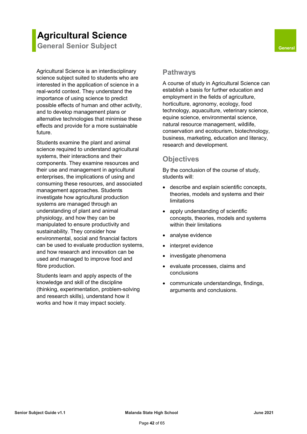### **Agricultural Science**

**General Senior Subject <b>General General** 

Agricultural Science is an interdisciplinary science subject suited to students who are interested in the application of science in a real-world context. They understand the importance of using science to predict possible effects of human and other activity, and to develop management plans or alternative technologies that minimise these effects and provide for a more sustainable future.

Students examine the plant and animal science required to understand agricultural systems, their interactions and their components. They examine resources and their use and management in agricultural enterprises, the implications of using and consuming these resources, and associated management approaches. Students investigate how agricultural production systems are managed through an understanding of plant and animal physiology, and how they can be manipulated to ensure productivity and sustainability. They consider how environmental, social and financial factors can be used to evaluate production systems, and how research and innovation can be used and managed to improve food and fibre production.

Students learn and apply aspects of the knowledge and skill of the discipline (thinking, experimentation, problem-solving and research skills), understand how it works and how it may impact society.

### **Pathways**

A course of study in Agricultural Science can establish a basis for further education and employment in the fields of agriculture, horticulture, agronomy, ecology, food technology, aquaculture, veterinary science, equine science, environmental science, natural resource management, wildlife, conservation and ecotourism, biotechnology, business, marketing, education and literacy, research and development.

### **Objectives**

By the conclusion of the course of study, students will:

- describe and explain scientific concepts, theories, models and systems and their limitations
- apply understanding of scientific concepts, theories, models and systems within their limitations
- analyse evidence
- interpret evidence
- investigate phenomena
- evaluate processes, claims and conclusions
- communicate understandings, findings, arguments and conclusions.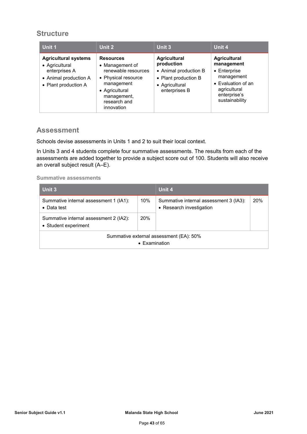### **Structure**

| Unit 1                                                                                                          | Unit 2                                                                                                                                                         | Unit 3                                                                                                                | Unit 4                                                                                                                                  |
|-----------------------------------------------------------------------------------------------------------------|----------------------------------------------------------------------------------------------------------------------------------------------------------------|-----------------------------------------------------------------------------------------------------------------------|-----------------------------------------------------------------------------------------------------------------------------------------|
| <b>Agricultural systems</b><br>• Agricultural<br>enterprises A<br>• Animal production A<br>• Plant production A | <b>Resources</b><br>• Management of<br>renewable resources<br>• Physical resource<br>management<br>• Agricultural<br>management,<br>research and<br>innovation | <b>Agricultural</b><br>production<br>• Animal production B<br>• Plant production B<br>• Agricultural<br>enterprises B | <b>Agricultural</b><br>management<br>• Enterprise<br>management<br>• Evaluation of an<br>agricultural<br>enterprise's<br>sustainability |

### **Assessment**

Schools devise assessments in Units 1 and 2 to suit their local context.

In Units 3 and 4 students complete four summative assessments. The results from each of the assessments are added together to provide a subject score out of 100. Students will also receive an overall subject result (A–E).

#### **Summative assessments**

| Unit 3                                                         |                       | Unit 4                                                             |     |
|----------------------------------------------------------------|-----------------------|--------------------------------------------------------------------|-----|
| Summative internal assessment 1 (IA1):<br>$\bullet$ Data test  | 10%                   | Summative internal assessment 3 (IA3):<br>• Research investigation | 20% |
| Summative internal assessment 2 (IA2):<br>• Student experiment | 20%                   |                                                                    |     |
|                                                                | $\bullet$ Examination | Summative external assessment (EA): 50%                            |     |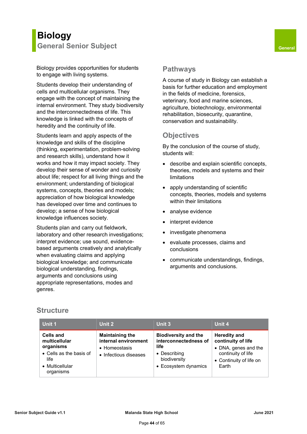### **Biology General Senior Subject <b>General General**

Biology provides opportunities for students to engage with living systems.

Students develop their understanding of cells and multicellular organisms. They engage with the concept of maintaining the internal environment. They study biodiversity and the interconnectedness of life. This knowledge is linked with the concepts of heredity and the continuity of life.

Students learn and apply aspects of the knowledge and skills of the discipline (thinking, experimentation, problem-solving and research skills), understand how it works and how it may impact society. They develop their sense of wonder and curiosity about life; respect for all living things and the environment; understanding of biological systems, concepts, theories and models; appreciation of how biological knowledge has developed over time and continues to develop; a sense of how biological knowledge influences society.

Students plan and carry out fieldwork, laboratory and other research investigations; interpret evidence; use sound, evidencebased arguments creatively and analytically when evaluating claims and applying biological knowledge; and communicate biological understanding, findings, arguments and conclusions using appropriate representations, modes and genres.

### **Pathways**

A course of study in Biology can establish a basis for further education and employment in the fields of medicine, forensics, veterinary, food and marine sciences, agriculture, biotechnology, environmental rehabilitation, biosecurity, quarantine, conservation and sustainability.

### **Objectives**

By the conclusion of the course of study, students will:

- describe and explain scientific concepts, theories, models and systems and their limitations
- apply understanding of scientific concepts, theories, models and systems within their limitations
- analyse evidence
- interpret evidence
- investigate phenomena
- evaluate processes, claims and conclusions
- communicate understandings, findings, arguments and conclusions.

### **Structure**

| <b>Unit 1</b>                                                                                                     | Unit 2                                                                                   | Unit 3                                                                                                               | Unit 4                                                                                                                      |
|-------------------------------------------------------------------------------------------------------------------|------------------------------------------------------------------------------------------|----------------------------------------------------------------------------------------------------------------------|-----------------------------------------------------------------------------------------------------------------------------|
| <b>Cells and</b><br>multicellular<br>organisms<br>• Cells as the basis of<br>life<br>• Multicellular<br>organisms | <b>Maintaining the</b><br>internal environment<br>• Homeostasis<br>• Infectious diseases | <b>Biodiversity and the</b><br>interconnectedness of<br>life<br>• Describing<br>biodiversity<br>• Ecosystem dynamics | <b>Heredity and</b><br>continuity of life<br>• DNA, genes and the<br>continuity of life<br>• Continuity of life on<br>Earth |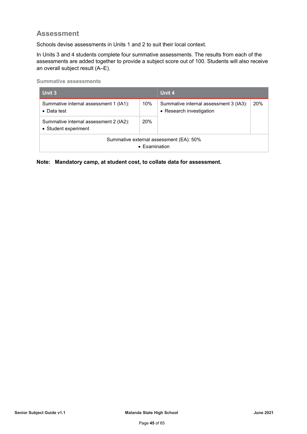### **Assessment**

Schools devise assessments in Units 1 and 2 to suit their local context.

In Units 3 and 4 students complete four summative assessments. The results from each of the assessments are added together to provide a subject score out of 100. Students will also receive an overall subject result (A–E).

**Summative assessments**

| Unit 3                                                         |     | Unit 4                                                             |     |
|----------------------------------------------------------------|-----|--------------------------------------------------------------------|-----|
| Summative internal assessment 1 (IA1):<br>$\bullet$ Data test  | 10% | Summative internal assessment 3 (IA3):<br>• Research investigation | 20% |
| Summative internal assessment 2 (IA2):<br>• Student experiment | 20% |                                                                    |     |
| Summative external assessment (EA): 50%<br>• Examination       |     |                                                                    |     |

**Note: Mandatory camp, at student cost, to collate data for assessment.**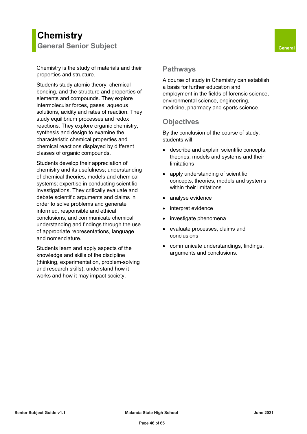### **Chemistry General Senior Subject <b>General General**

Chemistry is the study of materials and their properties and structure.

Students study atomic theory, chemical bonding, and the structure and properties of elements and compounds. They explore intermolecular forces, gases, aqueous solutions, acidity and rates of reaction. They study equilibrium processes and redox reactions. They explore organic chemistry, synthesis and design to examine the characteristic chemical properties and chemical reactions displayed by different classes of organic compounds.

Students develop their appreciation of chemistry and its usefulness; understanding of chemical theories, models and chemical systems; expertise in conducting scientific investigations. They critically evaluate and debate scientific arguments and claims in order to solve problems and generate informed, responsible and ethical conclusions, and communicate chemical understanding and findings through the use of appropriate representations, language and nomenclature.

Students learn and apply aspects of the knowledge and skills of the discipline (thinking, experimentation, problem-solving and research skills), understand how it works and how it may impact society.

### **Pathways**

A course of study in Chemistry can establish a basis for further education and employment in the fields of forensic science, environmental science, engineering, medicine, pharmacy and sports science.

### **Objectives**

By the conclusion of the course of study, students will:

- describe and explain scientific concepts, theories, models and systems and their limitations
- apply understanding of scientific concepts, theories, models and systems within their limitations
- analyse evidence
- interpret evidence
- investigate phenomena
- evaluate processes, claims and conclusions
- communicate understandings, findings, arguments and conclusions.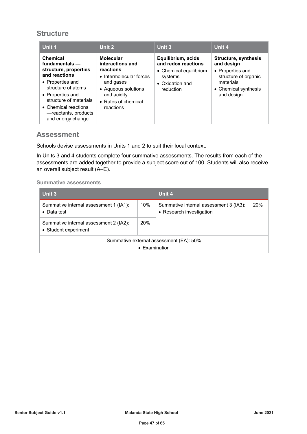### **Structure**

| Unit 1                                                                                                                                                                                                                                   | Unit 2                                                                                                                                                              | Unit 3                                                                                                         | Unit 4                                                                                                                            |
|------------------------------------------------------------------------------------------------------------------------------------------------------------------------------------------------------------------------------------------|---------------------------------------------------------------------------------------------------------------------------------------------------------------------|----------------------------------------------------------------------------------------------------------------|-----------------------------------------------------------------------------------------------------------------------------------|
| <b>Chemical</b><br>fundamentals -<br>structure, properties<br>and reactions<br>• Properties and<br>structure of atoms<br>• Properties and<br>structure of materials<br>• Chemical reactions<br>-reactants, products<br>and energy change | <b>Molecular</b><br>interactions and<br>reactions<br>• Intermolecular forces<br>and gases<br>• Aqueous solutions<br>and acidity<br>• Rates of chemical<br>reactions | Equilibrium, acids<br>and redox reactions<br>• Chemical equilibrium<br>systems<br>• Oxidation and<br>reduction | Structure, synthesis<br>and design<br>• Properties and<br>structure of organic<br>materials<br>• Chemical synthesis<br>and design |

### **Assessment**

Schools devise assessments in Units 1 and 2 to suit their local context.

In Units 3 and 4 students complete four summative assessments. The results from each of the assessments are added together to provide a subject score out of 100. Students will also receive an overall subject result (A–E).

#### **Summative assessments**

| Unit 3                                                         |     | Unit 4                                                             |     |
|----------------------------------------------------------------|-----|--------------------------------------------------------------------|-----|
| Summative internal assessment 1 (IA1):<br>$\bullet$ Data test  | 10% | Summative internal assessment 3 (IA3):<br>• Research investigation | 20% |
| Summative internal assessment 2 (IA2):<br>• Student experiment | 20% |                                                                    |     |
| Summative external assessment (EA): 50%<br>• Examination       |     |                                                                    |     |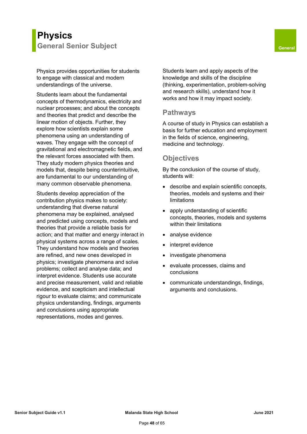### **Physics General Senior Subject <b>General General**

Physics provides opportunities for students to engage with classical and modern understandings of the universe.

Students learn about the fundamental concepts of thermodynamics, electricity and nuclear processes; and about the concepts and theories that predict and describe the linear motion of objects. Further, they explore how scientists explain some phenomena using an understanding of waves. They engage with the concept of gravitational and electromagnetic fields, and the relevant forces associated with them. They study modern physics theories and models that, despite being counterintuitive, are fundamental to our understanding of many common observable phenomena.

Students develop appreciation of the contribution physics makes to society: understanding that diverse natural phenomena may be explained, analysed and predicted using concepts, models and theories that provide a reliable basis for action; and that matter and energy interact in physical systems across a range of scales. They understand how models and theories are refined, and new ones developed in physics; investigate phenomena and solve problems; collect and analyse data; and interpret evidence. Students use accurate and precise measurement, valid and reliable evidence, and scepticism and intellectual rigour to evaluate claims; and communicate physics understanding, findings, arguments and conclusions using appropriate representations, modes and genres.

Students learn and apply aspects of the knowledge and skills of the discipline (thinking, experimentation, problem-solving and research skills), understand how it works and how it may impact society.

### **Pathways**

A course of study in Physics can establish a basis for further education and employment in the fields of science, engineering, medicine and technology.

### **Objectives**

By the conclusion of the course of study, students will:

- describe and explain scientific concepts, theories, models and systems and their limitations
- apply understanding of scientific concepts, theories, models and systems within their limitations
- analyse evidence
- interpret evidence
- investigate phenomena
- evaluate processes, claims and conclusions
- communicate understandings, findings, arguments and conclusions.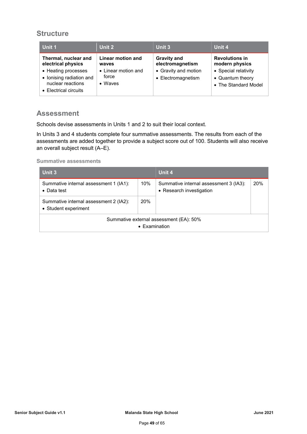### **Structure**

| Unit 1                                                                                        | Unit 2                                          | Unit 3                                     | Unit 4                                                           |
|-----------------------------------------------------------------------------------------------|-------------------------------------------------|--------------------------------------------|------------------------------------------------------------------|
| Thermal, nuclear and<br>electrical physics                                                    | Linear motion and<br>waves                      | <b>Gravity and</b><br>electromagnetism     | <b>Revolutions in</b><br>modern physics                          |
| • Heating processes<br>• Ionising radiation and<br>nuclear reactions<br>• Electrical circuits | • Linear motion and<br>force<br>$\bullet$ Waves | • Gravity and motion<br>• Electromagnetism | • Special relativity<br>• Quantum theory<br>• The Standard Model |

### **Assessment**

Schools devise assessments in Units 1 and 2 to suit their local context.

In Units 3 and 4 students complete four summative assessments. The results from each of the assessments are added together to provide a subject score out of 100. Students will also receive an overall subject result (A–E).

#### **Summative assessments**

| Unit 3                                                           |            | Unit 4                                                             |     |
|------------------------------------------------------------------|------------|--------------------------------------------------------------------|-----|
| Summative internal assessment 1 (IA1):<br>$\bullet$ Data test    | 10%        | Summative internal assessment 3 (IA3):<br>• Research investigation | 20% |
| Summative internal assessment 2 (IA2):<br>• Student experiment   | <b>20%</b> |                                                                    |     |
| Summative external assessment (EA): 50%<br>$\bullet$ Examination |            |                                                                    |     |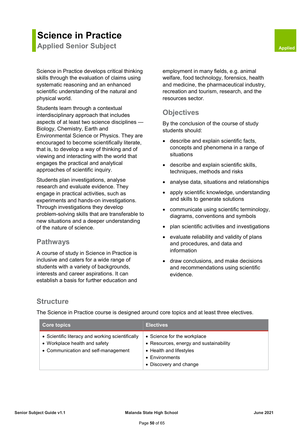### **Science in Practice**

**Applied Senior Subject <b>Applied** Senior Subject **Applied** 

Science in Practice develops critical thinking skills through the evaluation of claims using systematic reasoning and an enhanced scientific understanding of the natural and physical world.

Students learn through a contextual interdisciplinary approach that includes aspects of at least two science disciplines — Biology, Chemistry, Earth and Environmental Science or Physics. They are encouraged to become scientifically literate, that is, to develop a way of thinking and of viewing and interacting with the world that engages the practical and analytical approaches of scientific inquiry.

Students plan investigations, analyse research and evaluate evidence. They engage in practical activities, such as experiments and hands-on investigations. Through investigations they develop problem-solving skills that are transferable to new situations and a deeper understanding of the nature of science.

### **Pathways**

A course of study in Science in Practice is inclusive and caters for a wide range of students with a variety of backgrounds, interests and career aspirations. It can establish a basis for further education and employment in many fields, e.g. animal welfare, food technology, forensics, health and medicine, the pharmaceutical industry, recreation and tourism, research, and the resources sector.

### **Objectives**

By the conclusion of the course of study students should:

- describe and explain scientific facts, concepts and phenomena in a range of situations
- describe and explain scientific skills, techniques, methods and risks
- analyse data, situations and relationships
- apply scientific knowledge, understanding and skills to generate solutions
- communicate using scientific terminology, diagrams, conventions and symbols
- plan scientific activities and investigations
- evaluate reliability and validity of plans and procedures, and data and information
- draw conclusions, and make decisions and recommendations using scientific evidence.

### **Structure**

The Science in Practice course is designed around core topics and at least three electives.

| <b>Core topics</b>                                                                                                       | <b>Electives</b>                                                                                                                                     |
|--------------------------------------------------------------------------------------------------------------------------|------------------------------------------------------------------------------------------------------------------------------------------------------|
| • Scientific literacy and working scientifically<br>• Workplace health and safety<br>• Communication and self-management | • Science for the workplace<br>• Resources, energy and sustainability<br>• Health and lifestyles<br>$\bullet$ Environments<br>• Discovery and change |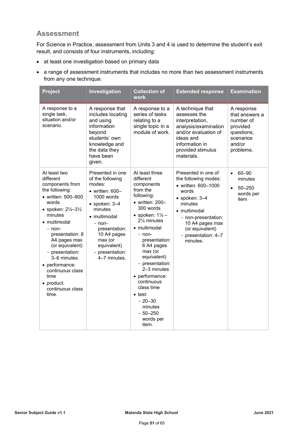### **Assessment**

For Science in Practice, assessment from Units 3 and 4 is used to determine the student's exit result, and consists of four instruments, including:

- at least one investigation based on primary data
- a range of assessment instruments that includes no more than two assessment instruments from any one technique.

| <b>Project</b>                                                                                                                                                                                                                                                                                                                                                 | Investigation                                                                                                                                                                                                                                        | <b>Collection of</b><br>work                                                                                                                                                                                                                                                                                                                                                                                              | <b>Extended response</b>                                                                                                                                                                                                        | <b>Examination</b>                                                                                      |
|----------------------------------------------------------------------------------------------------------------------------------------------------------------------------------------------------------------------------------------------------------------------------------------------------------------------------------------------------------------|------------------------------------------------------------------------------------------------------------------------------------------------------------------------------------------------------------------------------------------------------|---------------------------------------------------------------------------------------------------------------------------------------------------------------------------------------------------------------------------------------------------------------------------------------------------------------------------------------------------------------------------------------------------------------------------|---------------------------------------------------------------------------------------------------------------------------------------------------------------------------------------------------------------------------------|---------------------------------------------------------------------------------------------------------|
| A response to a<br>single task,<br>situation and/or<br>scenario.                                                                                                                                                                                                                                                                                               | A response that<br>includes locating<br>and using<br>information<br>beyond<br>students' own<br>knowledge and<br>the data they<br>have been<br>given.                                                                                                 | A response to a<br>series of tasks<br>relating to a<br>single topic in a<br>module of work.                                                                                                                                                                                                                                                                                                                               | A technique that<br>assesses the<br>interpretation,<br>analysis/examination<br>and/or evaluation of<br>ideas and<br>information in<br>provided stimulus<br>materials.                                                           | A response<br>that answers a<br>number of<br>provided<br>questions,<br>scenarios<br>and/or<br>problems. |
| At least two<br>different<br>components from<br>the following:<br>• written: 500-900<br>words<br>• spoken: $2\frac{1}{2} - 3\frac{1}{2}$<br>minutes<br>• multimodal<br>- non-<br>presentation: 8<br>A4 pages max<br>(or equivalent)<br>- presentation:<br>3–6 minutes<br>• performance:<br>continuous class<br>time<br>• product:<br>continuous class<br>time. | Presented in one<br>of the following<br>modes:<br>$\bullet$ written: 600-<br>1000 words<br>$\bullet$ spoken: 3-4<br>minutes<br>• multimodal<br>$-$ non-<br>presentation:<br>10 A4 pages<br>max (or<br>equivalent)<br>- presentation:<br>4-7 minutes. | At least three<br>different<br>components<br>from the<br>following:<br>$\bullet$ written: 200-<br>300 words<br>• spoken: $1\frac{1}{2}$ –<br>$2\frac{1}{2}$ minutes<br>• multimodal<br>$-$ non-<br>presentation:<br>6 A4 pages<br>max (or<br>equivalent)<br>- presentation:<br>2-3 minutes<br>• performance:<br>continuous<br>class time<br>$\bullet$ test:<br>$-20 - 30$<br>minutes<br>$-50 - 250$<br>words per<br>item. | Presented in one of<br>the following modes:<br>• written: 600-1000<br>words<br>$\bullet$ spoken: 3-4<br>minutes<br>• multimodal<br>- non-presentation:<br>10 A4 pages max<br>(or equivalent)<br>- presentation: 4-7<br>minutes. | $60 - 90$<br>$\bullet$<br>minutes<br>$50 - 250$<br>$\bullet$<br>words per<br>item                       |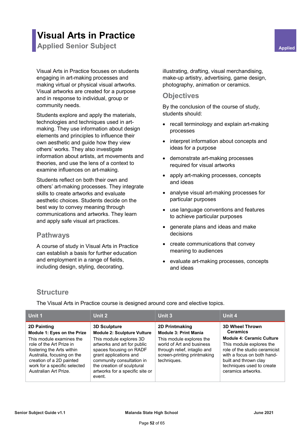### **Visual Arts in Practice**

**Applied Senior Subject <b>Applied** Senior Subject **Applied** 

Visual Arts in Practice focuses on students engaging in art-making processes and making virtual or physical visual artworks. Visual artworks are created for a purpose and in response to individual, group or community needs.

Students explore and apply the materials, technologies and techniques used in artmaking. They use information about design elements and principles to influence their own aesthetic and guide how they view others' works. They also investigate information about artists, art movements and theories, and use the lens of a context to examine influences on art-making.

Students reflect on both their own and others' art-making processes. They integrate skills to create artworks and evaluate aesthetic choices. Students decide on the best way to convey meaning through communications and artworks. They learn and apply safe visual art practices.

### **Pathways**

A course of study in Visual Arts in Practice can establish a basis for further education and employment in a range of fields, including design, styling, decorating,

illustrating, drafting, visual merchandising, make-up artistry, advertising, game design, photography, animation or ceramics.

### **Objectives**

By the conclusion of the course of study, students should:

- recall terminology and explain art-making processes
- interpret information about concepts and ideas for a purpose
- demonstrate art-making processes required for visual artworks
- apply art-making processes, concepts and ideas
- analyse visual art-making processes for particular purposes
- use language conventions and features to achieve particular purposes
- generate plans and ideas and make decisions
- create communications that convey meaning to audiences
- evaluate art-making processes, concepts and ideas

### **Structure**

The Visual Arts in Practice course is designed around core and elective topics.

| Unit 1                                                                                                                                                                                                                                                    | Unit 2                                                                                                                                                                                                                                                                           | Unit 3                                                                                                                                                                                | Unit 4                                                                                                                                                                                                                                               |
|-----------------------------------------------------------------------------------------------------------------------------------------------------------------------------------------------------------------------------------------------------------|----------------------------------------------------------------------------------------------------------------------------------------------------------------------------------------------------------------------------------------------------------------------------------|---------------------------------------------------------------------------------------------------------------------------------------------------------------------------------------|------------------------------------------------------------------------------------------------------------------------------------------------------------------------------------------------------------------------------------------------------|
| <b>2D Painting</b><br>Module 1: Eyes on the Prize<br>This module examines the<br>role of the Art Prize in<br>fostering the Arts within<br>Australia, focusing on the<br>creation of a 2D painted<br>work for a specific selected<br>Australian Art Prize. | <b>3D Sculpture</b><br><b>Module 2: Sculpture Vulture</b><br>This module explores 3D<br>artworks and art for public<br>spaces focusing on RADF<br>grant applications and<br>community consultation in<br>the creation of sculptural<br>artworks for a specific site or<br>event. | 2D Printmaking<br><b>Module 3: Print Mania</b><br>This module explores the<br>world of Art and business<br>through relief, intaglio and<br>screen-printing printmaking<br>techniques. | <b>3D Wheel Thrown</b><br><b>Ceramics</b><br><b>Module 4: Ceramic Culture</b><br>This module explores the<br>role of the studio ceramicist<br>with a focus on both hand-<br>built and thrown clay<br>techniques used to create<br>ceramics artworks. |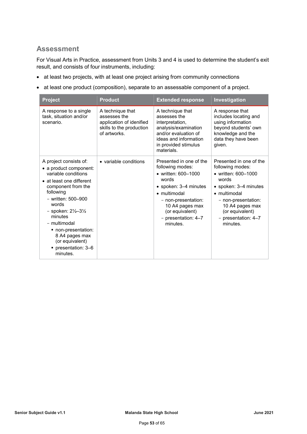### **Assessment**

For Visual Arts in Practice, assessment from Units 3 and 4 is used to determine the student's exit result, and consists of four instruments, including:

- at least two projects, with at least one project arising from community connections
- at least one product (composition), separate to an assessable component of a project.

| <b>Project</b>                                                                                                                                                                                                                                                                                                                         | <b>Product</b>                                                                                           | <b>Extended response</b>                                                                                                                                                                                                     | Investigation                                                                                                                                                                                                                |
|----------------------------------------------------------------------------------------------------------------------------------------------------------------------------------------------------------------------------------------------------------------------------------------------------------------------------------------|----------------------------------------------------------------------------------------------------------|------------------------------------------------------------------------------------------------------------------------------------------------------------------------------------------------------------------------------|------------------------------------------------------------------------------------------------------------------------------------------------------------------------------------------------------------------------------|
| A response to a single<br>task, situation and/or<br>scenario.                                                                                                                                                                                                                                                                          | A technique that<br>assesses the<br>application of idenified<br>skills to the production<br>of artworks. | A technique that<br>assesses the<br>interpretation,<br>analysis/examination<br>and/or evaluation of<br>ideas and information<br>in provided stimulus<br>materials.                                                           | A response that<br>includes locating and<br>using information<br>beyond students' own<br>knowledge and the<br>data they have been<br>given.                                                                                  |
| A project consists of:<br>• a product component:<br>variable conditions<br>• at least one different<br>component from the<br>following<br>- written: 500-900<br>words<br>- spoken: $2\frac{1}{2} - 3\frac{1}{2}$<br>minutes<br>- multimodal<br>non-presentation:<br>8 A4 pages max<br>(or equivalent)<br>presentation: 3-6<br>minutes. | • variable conditions                                                                                    | Presented in one of the<br>following modes:<br>• written: 600-1000<br>words<br>• spoken: 3-4 minutes<br>$\bullet$ multimodal<br>- non-presentation:<br>10 A4 pages max<br>(or equivalent)<br>- presentation: 4-7<br>minutes. | Presented in one of the<br>following modes:<br>• written: 600-1000<br>words<br>• spoken: 3-4 minutes<br>$\bullet$ multimodal<br>- non-presentation:<br>10 A4 pages max<br>(or equivalent)<br>- presentation: 4-7<br>minutes. |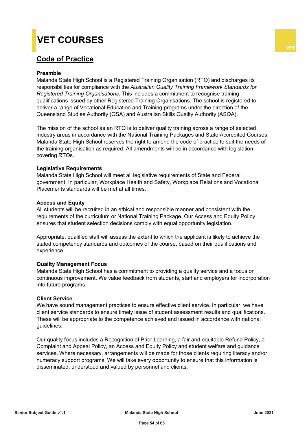## **VET COURSES**

### **Code of Practice**

#### **Preamble**

Malanda State High School is a Registered Training Organisation (RTO) and discharges its responsibilities for compliance with the *Australian Quality Training Framework Standards for Registered Training Organisations.* This includes a commitment to recognise training qualifications issued by other Registered Training Organisations. The school is registered to deliver a range of Vocational Education and Training programs under the direction of the Queensland Studies Authority (QSA) and Australian Skills Quality Authority (ASQA).

The mission of the school as an RTO is to deliver quality training across a range of selected industry areas in accordance with the National Training Packages and State Accredited Courses. Malanda State High School reserves the right to amend the code of practice to suit the needs of the training organisation as required. All amendments will be in accordance with legislation covering RTOs.

#### **Legislative Requirements**

Malanda State High School will meet all legislative requirements of State and Federal government. In particular, Workplace Health and Safety, Workplace Relations and Vocational Placements standards will be met at all times.

#### **Access and Equity**

All students will be recruited in an ethical and responsible manner and consistent with the requirements of the curriculum or National Training Package. Our Access and Equity Policy ensures that student selection decisions comply with equal opportunity legislation.

Appropriate, qualified staff will assess the extent to which the applicant is likely to achieve the stated competency standards and outcomes of the course, based on their qualifications and experience.

#### **Quality Management Focus**

Malanda State High School has a commitment to providing a quality service and a focus on continuous improvement. We value feedback from students, staff and employers for incorporation into future programs.

#### **Client Service**

We have sound management practices to ensure effective client service. In particular, we have client service standards to ensure timely issue of student assessment results and qualifications. These will be appropriate to the competence achieved and issued in accordance with national guidelines.

Our quality focus includes a Recognition of Prior Learning, a fair and equitable Refund Policy, a Complaint and Appeal Policy, an Access and Equity Policy and student welfare and guidance services. Where necessary, arrangements will be made for those clients requiring literacy and/or numeracy support programs. We will take every opportunity to ensure that this information is disseminated, understood and valued by personnel and clients.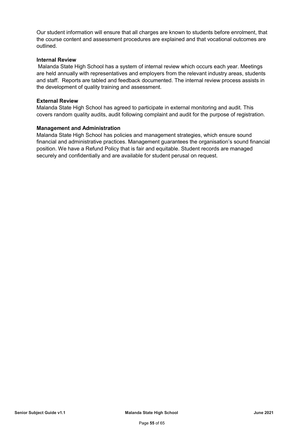Our student information will ensure that all charges are known to students before enrolment, that the course content and assessment procedures are explained and that vocational outcomes are outlined.

#### **Internal Review**

Malanda State High School has a system of internal review which occurs each year. Meetings are held annually with representatives and employers from the relevant industry areas, students and staff. Reports are tabled and feedback documented. The internal review process assists in the development of quality training and assessment.

#### **External Review**

Malanda State High School has agreed to participate in external monitoring and audit. This covers random quality audits, audit following complaint and audit for the purpose of registration.

#### **Management and Administration**

Malanda State High School has policies and management strategies, which ensure sound financial and administrative practices. Management guarantees the organisation's sound financial position. We have a Refund Policy that is fair and equitable. Student records are managed securely and confidentially and are available for student perusal on request.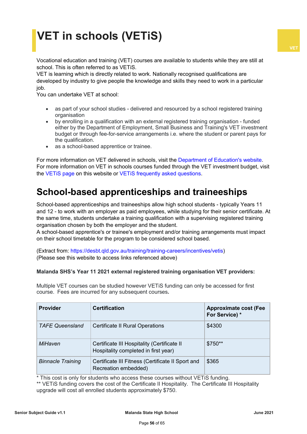# **VET in schools (VETiS)**

Vocational education and training (VET) courses are available to students while they are still at school. This is often referred to as VETiS.

VET is learning which is directly related to work. Nationally recognised qualifications are developed by industry to give people the knowledge and skills they need to work in a particular job.

You can undertake VET at school:

- as part of your school studies delivered and resourced by a school registered training organisation
- by enrolling in a qualification with an external registered training organisation funded either by the Department of Employment, Small Business and Training's VET investment budget or through fee-for-service arrangements i.e. where the student or parent pays for the qualification.
- as a school-based apprentice or trainee.

For more information on VET delivered in schools, visit the [Department of Education's website.](https://education.qld.gov.au/careers/apprentices-and-trainees/vet-in-school) For more information on VET in schools courses funded through the VET investment budget, visit the [VETiS page](https://desbt.qld.gov.au/training/providers/funded/vetis) on this website or [VETiS frequently asked questions.](https://desbt.qld.gov.au/training/training-careers/incentives/vetis/faqs)

### **School-based apprenticeships and traineeships**

School-based apprenticeships and traineeships allow high school students - typically Years 11 and 12 - to work with an employer as paid employees, while studying for their senior certificate. At the same time, students undertake a training qualification with a supervising registered training organisation chosen by both the employer and the student.

A school-based apprentice's or trainee's employment and/or training arrangements must impact on their school timetable for the program to be considered school based.

(Extract from: [https://desbt.qld.gov.au/training/training-careers/incentives/vetis\)](https://desbt.qld.gov.au/training/training-careers/incentives/vetis) (Please see this website to access links referenced above)

### **Malanda SHS's Year 11 2021 external registered training organisation VET providers:**

Multiple VET courses can be studied however VETiS funding can only be accessed for first course. Fees are incurred for any subsequent courses**.**

| <b>Provider</b>          | <b>Certification</b>                                                                | <b>Approximate cost (Fee</b><br>For Service) * |
|--------------------------|-------------------------------------------------------------------------------------|------------------------------------------------|
| <b>TAFE Queensland</b>   | <b>Certificate II Rural Operations</b>                                              | \$4300                                         |
| MiHaven                  | Certificate III Hospitality (Certificate II<br>Hospitality completed in first year) | \$750**                                        |
| <b>Binnacle Training</b> | Certificate III Fitness (Certificate II Sport and<br>Recreation embedded)           | \$365                                          |

\* This cost is only for students who access these courses without VETiS funding.

\*\* VETIS funding covers the cost of the Certificate II Hospitality. The Certificate III Hospitality upgrade will cost all enrolled students approximately \$750.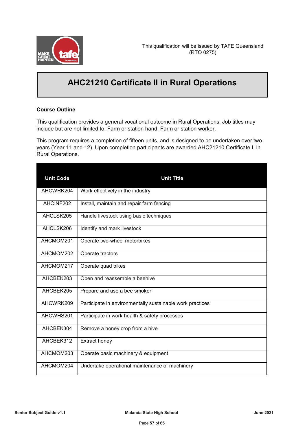

### **AHC21210 Certificate II in Rural Operations**

### **Course Outline**

This qualification provides a general vocational outcome in Rural Operations. Job titles may include but are not limited to: Farm or station hand, Farm or station worker.

This program requires a completion of fifteen units, and is designed to be undertaken over two years (Year 11 and 12). Upon completion participants are awarded AHC21210 Certificate II in Rural Operations.

| <b>Unit Code</b> | <b>Unit Title</b>                                         |
|------------------|-----------------------------------------------------------|
| AHCWRK204        | Work effectively in the industry                          |
| AHCINF202        | Install, maintain and repair farm fencing                 |
| AHCLSK205        | Handle livestock using basic techniques                   |
| AHCLSK206        | Identify and mark livestock                               |
| AHCMOM201        | Operate two-wheel motorbikes                              |
| AHCMOM202        | Operate tractors                                          |
| AHCMOM217        | Operate quad bikes                                        |
| AHCBEK203        | Open and reassemble a beehive                             |
| AHCBEK205        | Prepare and use a bee smoker                              |
| AHCWRK209        | Participate in environmentally sustainable work practices |
| AHCWHS201        | Participate in work health & safety processes             |
| AHCBEK304        | Remove a honey crop from a hive                           |
| AHCBEK312        | Extract honey                                             |
| AHCMOM203        | Operate basic machinery & equipment                       |
| AHCMOM204        | Undertake operational maintenance of machinery            |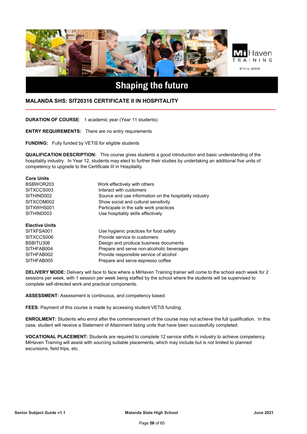

### **Shaping the future**

**\_\_\_\_\_\_\_\_\_\_\_\_\_\_\_\_\_\_\_\_\_\_\_\_\_\_\_\_\_\_\_\_\_\_\_\_\_\_\_\_\_\_\_\_\_\_\_\_\_\_\_\_\_\_\_\_\_\_\_\_\_\_\_\_\_\_\_\_\_\_\_\_\_\_\_\_\_\_\_\_\_\_\_**

#### **MALANDA SHS: SIT20316 CERTIFICATE II IN HOSPITALITY**

**DURATION OF COURSE**: 1 academic year (Year 11 students)

**ENTRY REQUIREMENTS:** There are no entry requirements

**FUNDING:** Fully funded by VETiS for eligible students

**QUALIFICATION DESCRIPTION:** This course gives students a good introduction and basic understanding of the hospitality industry. In Year 12, students may elect to further their studies by undertaking an additional five units of competency to upgrade to the Certificate III in Hospitality.

| <b>Core Units</b>     |                                                        |
|-----------------------|--------------------------------------------------------|
| BSBWOR203             | Work effectively with others                           |
| SITXCCS003            | Interact with customers                                |
| SITHIND002            | Source and use information on the hospitality industry |
| SITXCOM002            | Show social and cultural sensitivity                   |
| SITXWHS001            | Participate in the safe work practices                 |
| SITHIND003            | Use hospitality skills effectively                     |
| <b>Elective Units</b> |                                                        |
| SITXFSA001            | Use hygienic practices for food safety                 |
| SITXCCS006            | Provide service to customers                           |
| BSBITU306             | Design and produce business documents                  |
| SITHFAB004            | Prepare and serve non-alcoholic beverages              |
| SITHFAB002            | Provide responsible service of alcohol                 |
| SITHFAB005            | Prepare and serve espresso coffee                      |
|                       |                                                        |

**DELIVERY MODE:** Delivery will face to face where a MiHaven Training trainer will come to the school each week for 2 sessions per week, with 1 session per week being staffed by the school where the students will be supervised to complete self-directed work and practical components.

**ASSESSMENT:** Assessment is continuous, and competency based.

**FEES:** Payment of this course is made by accessing student VETiS funding.

**ENROLMENT:** Students who enrol after the commencement of the course may not achieve the full qualification. In this case, student will receive a Statement of Attainment listing units that have been successfully completed.

**VOCATIONAL PLACEMENT:** Students are required to complete 12 service shifts in industry to achieve competency. MiHaven Training will assist with sourcing suitable placements, which may include but is not limited to planned excursions, field trips, etc.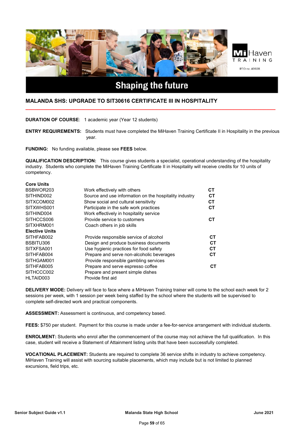

#### **MALANDA SHS: UPGRADE TO SIT30616 CERTIFICATE III IN HOSPITALITY**

**DURATION OF COURSE**: 1 academic year (Year 12 students)

**ENTRY REQUIREMENTS:** Students must have completed the MiHaven Training Certificate II in Hospitality in the previous year.

**\_\_\_\_\_\_\_\_\_\_\_\_\_\_\_\_\_\_\_\_\_\_\_\_\_\_\_\_\_\_\_\_\_\_\_\_\_\_\_\_\_\_\_\_\_\_\_\_\_\_\_\_\_\_\_\_\_\_\_\_\_\_\_\_\_\_\_\_\_\_\_\_\_\_\_\_\_\_\_\_\_\_\_**

**FUNDING:** No funding available, please see **FEES** below.

**QUALIFICATION DESCRIPTION:** This course gives students a specialist, operational understanding of the hospitality industry. Students who complete the MiHaven Training Certificate II in Hospitality will receive credits for 10 units of competency.

| <b>Core Units</b>     |                                                        |           |
|-----------------------|--------------------------------------------------------|-----------|
| BSBWOR203             | Work effectively with others                           | CТ        |
| SITHIND002            | Source and use information on the hospitality industry | <b>CT</b> |
| SITXCOM002            | Show social and cultural sensitivity                   | СT        |
| SITXWHS001            | Participate in the safe work practices                 | <b>CT</b> |
| SITHIND004            | Work effectively in hospitality service                |           |
| SITHCCS006            | Provide service to customers                           | <b>CT</b> |
| SITXHRM001            | Coach others in job skills                             |           |
| <b>Elective Units</b> |                                                        |           |
| SITHFAB002            | Provide responsible service of alcohol                 | CТ        |
| BSBITU306             | Design and produce business documents                  | <b>CT</b> |
| SITXFSA001            | Use hygienic practices for food safety                 | CТ        |
| SITHFAB004            | Prepare and serve non-alcoholic beverages              | CТ        |
| SITHGAM001            | Provide responsible gambling services                  |           |
| SITHFAB005            | Prepare and serve espresso coffee                      | CТ        |
| SITHCCC002            | Prepare and present simple dishes                      |           |
| HLTAID003             | Provide first aid                                      |           |

**DELIVERY MODE:** Delivery will face to face where a MiHaven Training trainer will come to the school each week for 2 sessions per week, with 1 session per week being staffed by the school where the students will be supervised to complete self-directed work and practical components.

**ASSESSMENT:** Assessment is continuous, and competency based.

**FEES:** \$750 per student. Payment for this course is made under a fee-for-service arrangement with individual students.

**ENROLMENT:** Students who enrol after the commencement of the course may not achieve the full qualification. In this case, student will receive a Statement of Attainment listing units that have been successfully completed.

**VOCATIONAL PLACEMENT:** Students are required to complete 36 service shifts in industry to achieve competency. MiHaven Training will assist with sourcing suitable placements, which may include but is not limited to planned excursions, field trips, etc.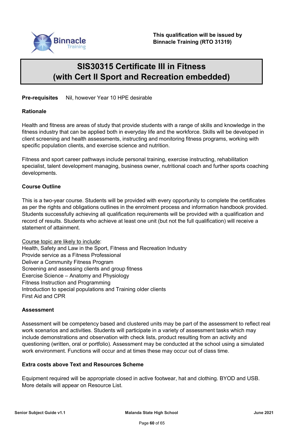

### **SIS30315 Certificate III in Fitness (with Cert II Sport and Recreation embedded)**

**Pre-requisites** Nil, however Year 10 HPE desirable

#### **Rationale**

Health and fitness are areas of study that provide students with a range of skills and knowledge in the fitness industry that can be applied both in everyday life and the workforce. Skills will be developed in client screening and health assessments, instructing and monitoring fitness programs, working with specific population clients, and exercise science and nutrition.

Fitness and sport career pathways include personal training, exercise instructing, rehabilitation specialist, talent development managing, business owner, nutritional coach and further sports coaching developments.

### **Course Outline**

This is a two-year course. Students will be provided with every opportunity to complete the certificates as per the rights and obligations outlines in the enrolment process and information handbook provided. Students successfully achieving all qualification requirements will be provided with a qualification and record of results. Students who achieve at least one unit (but not the full qualification) will receive a statement of attainment.

Course topic are likely to include: Health, Safety and Law in the Sport, Fitness and Recreation Industry Provide service as a Fitness Professional Deliver a Community Fitness Program Screening and assessing clients and group fitness Exercise Science – Anatomy and Physiology Fitness Instruction and Programming Introduction to special populations and Training older clients First Aid and CPR

#### **Assessment**

Assessment will be competency based and clustered units may be part of the assessment to reflect real work scenarios and activities. Students will participate in a variety of assessment tasks which may include demonstrations and observation with check lists, product resulting from an activity and questioning (written, oral or portfolio). Assessment may be conducted at the school using a simulated work environment. Functions will occur and at times these may occur out of class time.

#### **Extra costs above Text and Resources Scheme**

Equipment required will be appropriate closed in active footwear, hat and clothing. BYOD and USB. More details will appear on Resource List.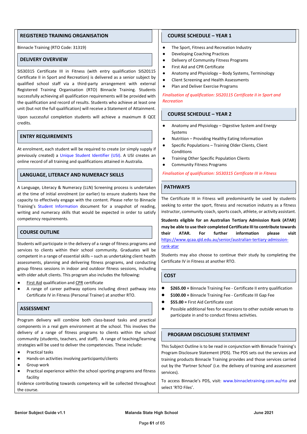#### **REGISTERED TRAINING ORGANISATION**

Binnacle Training (RTO Code: 31319)

#### **DELIVERY OVERVIEW**

SIS30315 Certificate III in Fitness (with entry qualification SIS20115 Certificate II in Sport and Recreation) is delivered as a senior subject by qualified school staff via a third-party arrangement with external Registered Training Organisation (RTO) Binnacle Training. Students successfully achieving all qualification requirements will be provided with the qualification and record of results. Students who achieve at least one unit (but not the full qualification) will receive a Statement of Attainment.

Upon successful completion students will achieve a maximum 8 QCE credits.

#### **ENTRY REQUIREMENTS**

At enrolment, each student will be required to create (or simply supply if previously created) a [Unique Student Identifier](https://www.usi.gov.au/) (USI). A USI creates an online record of all training and qualifications attained in Australia.

#### **LANGUAGE, LITERACY AND NUMERACY SKILLS**

A Language, Literacy & Numeracy (LLN) Screening process is undertaken at the time of initial enrolment (or earlier) to ensure students have the capacity to effectively engage with the content. Please refer to Binnacle Training's [Student Information](https://www.binnacletraining.com.au/connect/support-centre/binnacle-rto-files/) document for a snapshot of reading, writing and numeracy skills that would be expected in order to satisfy competency requirements.

#### **COURSE OUTLINE**

Students will participate in the delivery of a range of fitness programs and services to clients within their school community. Graduates will be competent in a range of essential skills – such as undertaking client health assessments, planning and delivering fitness programs, and conducting group fitness sessions in indoor and outdoor fitness sessions, including with older adult clients. This program also includes the following:

- **First Aid qualification and CPR certificate**
- A range of career pathway options including direct pathway into Certificate IV in Fitness (Personal Trainer) at another RTO.

#### **ASSESSMENT**

Program delivery will combine both class-based tasks and practical components in a real gym environment at the school. This involves the delivery of a range of fitness programs to clients within the school community (students, teachers, and staff). A range of teaching/learning strategies will be used to deliver the competencies. These include:

- Practical tasks
- Hands-on activities involving participants/clients
- Group work
- Practical experience within the school sporting programs and fitness facility

Evidence contributing towards competency will be collected throughout the course.

#### **COURSE SCHEDULE – YEAR 1**

- The Sport, Fitness and Recreation Industry
- **Developing Coaching Practices**
- Delivery of Community Fitness Programs
- **First Aid and CPR Certificate**
- Anatomy and Physiology Body Systems, Terminology
- Client Screening and Health Assessments
- Plan and Deliver Exercise Programs

*Finalisation of qualification: SIS20115 Certificate II in Sport and Recreation*

#### **COURSE SCHEDULE – YEAR 2**

- Anatomy and Physiology Digestive System and Energy Systems
- Nutrition Providing Healthy Eating Information
- Specific Populations Training Older Clients, Client Conditions
- **Training Other Specific Population Clients**
- Community Fitness Programs

*Finalisation of qualification: SIS30315 Certificate III in Fitness*

#### **PATHWAYS**

The Certificate III in Fitness will predominantly be used by students seeking to enter the sport, fitness and recreation industry as a fitness instructor, community coach, sports coach, athlete, or activity assistant.

**Students eligible for an Australian Tertiary Admission Rank (ATAR) may be able to use their completed Certificate III to contribute towards their ATAR. For further information please visit**  [https://www.qcaa.qld.edu.au/senior/australian-tertiary-admission](https://www.qcaa.qld.edu.au/senior/australian-tertiary-admission-rank-atar)[rank-atar](https://www.qcaa.qld.edu.au/senior/australian-tertiary-admission-rank-atar)

Students may also choose to continue their study by completing the Certificate IV in Fitness at another RTO.

#### **COST**

- \$265.00 = Binnacle Training Fee Certificate II entry qualification
- \$100.00 = Binnacle Training Fee Certificate III Gap Fee
- **\$55.00 =** First Aid Certificate cost
- Possible additional fees for excursions to other outside venues to participate in and to conduct fitness activities.

#### **PROGRAM DISCLOSURE STATEMENT**

This Subject Outline is to be read in conjunction with Binnacle Training's Program Disclosure Statement (PDS). The PDS sets out the services and training products Binnacle Training provides and those services carried out by the 'Partner School' (i.e. the delivery of training and assessment services).

To access Binnacle's PDS, visit: [www.binnacletraining.com.au/rto](http://www.binnacletraining.com.au/rto) and select 'RTO Files'.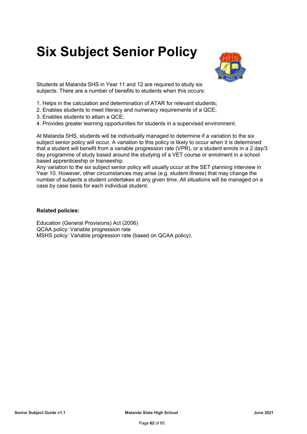# **Six Subject Senior Policy**



Students at Malanda SHS in Year 11 and 12 are required to study six subjects. There are a number of benefits to students when this occurs:

- 1. Helps in the calculation and determination of ATAR for relevant students;
- 2. Enables students to meet literacy and numeracy requirements of a QCE;
- 3. Enables students to attain a QCE;
- 4. Provides greater learning opportunities for students in a supervised environment.

At Malanda SHS, students will be individually managed to determine if a variation to the six subject senior policy will occur. A variation to this policy is likely to occur when it is determined that a student will benefit from a variable progression rate (VPR), or a student enrols in a 2 day/3 day programme of study based around the studying of a VET course or enrolment in a school based apprenticeship or traineeship.

Any variation to the six subject senior policy will usually occur at the SET planning interview in Year 10. However, other circumstances may arise (e.g. student illness) that may change the number of subjects a student undertakes at any given time. All situations will be managed on a case by case basis for each individual student.

#### **Related policies:**

Education (General Provisions) Act (2006) QCAA policy: Variable progression rate MSHS policy: Variable progression rate (based on QCAA policy).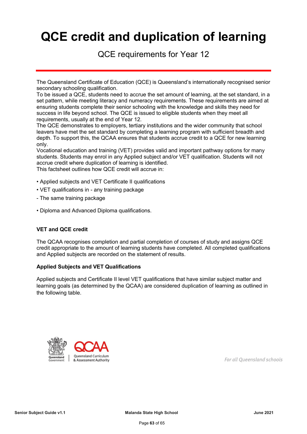# **QCE credit and duplication of learning**

QCE requirements for Year 12

The Queensland Certificate of Education (QCE) is Queensland's internationally recognised senior secondary schooling qualification.

To be issued a QCE, students need to accrue the set amount of learning, at the set standard, in a set pattern, while meeting literacy and numeracy requirements. These requirements are aimed at ensuring students complete their senior schooling with the knowledge and skills they need for success in life beyond school. The QCE is issued to eligible students when they meet all requirements, usually at the end of Year 12.

The QCE demonstrates to employers, tertiary institutions and the wider community that school leavers have met the set standard by completing a learning program with sufficient breadth and depth. To support this, the QCAA ensures that students accrue credit to a QCE for new learning only.

Vocational education and training (VET) provides valid and important pathway options for many students. Students may enrol in any Applied subject and/or VET qualification. Students will not accrue credit where duplication of learning is identified. This factsheet outlines how QCE credit will accrue in:

- Applied subjects and VET Certificate II qualifications
- VET qualifications in any training package
- The same training package
- Diploma and Advanced Diploma qualifications.

### **VET and QCE credit**

The QCAA recognises completion and partial completion of courses of study and assigns QCE credit appropriate to the amount of learning students have completed. All completed qualifications and Applied subjects are recorded on the statement of results.

#### **Applied Subjects and VET Qualifications**

Applied subjects and Certificate II level VET qualifications that have similar subject matter and learning goals (as determined by the QCAA) are considered duplication of learning as outlined in the following table.



For all Queensland schools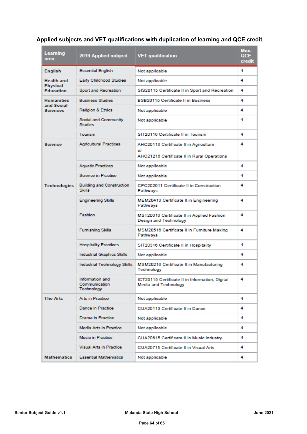### **Applied subjects and VET qualifications with duplication of learning and QCE credit**

| Learning<br>area                | 2019 Applied subject                              | <b>VET qualification</b>                                                | Max.<br>QCE<br>credit |
|---------------------------------|---------------------------------------------------|-------------------------------------------------------------------------|-----------------------|
| <b>English</b>                  | <b>Essential English</b>                          | Not applicable                                                          | 4                     |
| <b>Health and</b>               | Early Childhood Studies                           | Not applicable                                                          | 4                     |
| Physical<br><b>Education</b>    | Sport and Recreation                              | SIS20115 Certificate II in Sport and Recreation                         | 4                     |
| <b>Humanities</b><br>and Social | <b>Business Studies</b>                           | <b>BSB20115 Certificate II in Business</b>                              | 4                     |
| <b>Sciences</b>                 | <b>Religion &amp; Ethics</b>                      | Not applicable                                                          | 4                     |
|                                 | Social and Community<br><b>Studies</b>            | Not applicable                                                          | 4                     |
|                                 | Tourism                                           | SIT20116 Certificate II in Tourism                                      | 4                     |
| <b>Science</b>                  | <b>Agricultural Practices</b>                     | AHC20116 Certificate II in Agriculture<br>or                            | 4                     |
|                                 |                                                   | AHC21216 Certificate II in Rural Operations                             |                       |
|                                 | <b>Aquatic Practices</b>                          | Not applicable                                                          | 4                     |
|                                 | Science in Practice                               | Not applicable                                                          | 4                     |
| <b>Technologies</b>             | <b>Building and Construction</b><br><b>Skills</b> | CPC202011 Certificate II in Construction<br>Pathways                    | 4                     |
|                                 | <b>Engineering Skills</b>                         | MEM20413 Certificate II in Engineering<br>Pathways                      | 4                     |
|                                 | Fashion                                           | MST20616 Certificate II in Applied Fashion<br>Design and Technology     | 4                     |
|                                 | <b>Furnishing Skills</b>                          | MSM20516 Certificate II in Furniture Making<br>Pathways                 | 4                     |
|                                 | <b>Hospitality Practices</b>                      | SIT20316 Certificate II in Hospitality                                  | 4                     |
|                                 | <b>Industrial Graphics Skills</b>                 | Not applicable                                                          | 4                     |
|                                 | Industrial Technology Skills                      | MSM20216 Certificate II in Manufacturing<br>Technology                  | 4                     |
|                                 | Information and<br>Communication<br>Technology    | ICT20115 Certificate II in Information, Digital<br>Media and Technology | 4                     |
| <b>The Arts</b>                 | Arts in Practice                                  | Not applicable                                                          | 4                     |
|                                 | Dance in Practice                                 | CUA20113 Certificate II in Dance                                        | 4                     |
|                                 | Drama in Practice                                 | Not applicable                                                          | 4                     |
|                                 | Media Arts in Practice                            | Not applicable                                                          | 4                     |
|                                 | Music in Practice                                 | CUA20615 Certificate II in Music Industry                               | 4                     |
|                                 | <b>Visual Arts in Practice</b>                    | CUA20715 Certificate II in Visual Arts                                  | 4                     |
| <b>Mathematics</b>              | <b>Essential Mathematics</b>                      | Not applicable                                                          | 4                     |